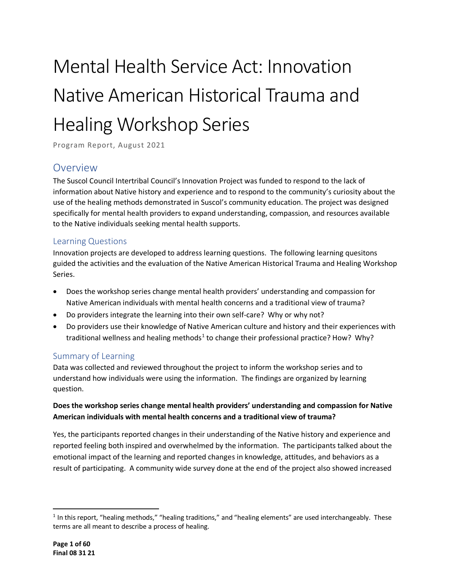# Mental Health Service Act: Innovation Native American Historical Trauma and Healing Workshop Series

Program Report, August 2021

# <span id="page-0-1"></span>Overview

The Suscol Council Intertribal Council's Innovation Project was funded to respond to the lack of information about Native history and experience and to respond to the community's curiosity about the use of the healing methods demonstrated in Suscol's community education. The project was designed specifically for mental health providers to expand understanding, compassion, and resources available to the Native individuals seeking mental health supports.

# <span id="page-0-2"></span>Learning Questions

Innovation projects are developed to address learning questions. The following learning quesitons guided the activities and the evaluation of the Native American Historical Trauma and Healing Workshop Series.

- Does the workshop series change mental health providers' understanding and compassion for Native American individuals with mental health concerns and a traditional view of trauma?
- Do providers integrate the learning into their own self-care? Why or why not?
- Do providers use their knowledge of Native American culture and history and their experiences with traditional wellness and healing methods<sup>[1](#page-0-0)</sup> to change their professional practice? How? Why?

# <span id="page-0-3"></span>Summary of Learning

Data was collected and reviewed throughout the project to inform the workshop series and to understand how individuals were using the information. The findings are organized by learning question.

# **Does the workshop series change mental health providers' understanding and compassion for Native American individuals with mental health concerns and a traditional view of trauma?**

Yes, the participants reported changes in their understanding of the Native history and experience and reported feeling both inspired and overwhelmed by the information. The participants talked about the emotional impact of the learning and reported changes in knowledge, attitudes, and behaviors as a result of participating. A community wide survey done at the end of the project also showed increased

<span id="page-0-0"></span> $1$  In this report, "healing methods," "healing traditions," and "healing elements" are used interchangeably. These terms are all meant to describe a process of healing.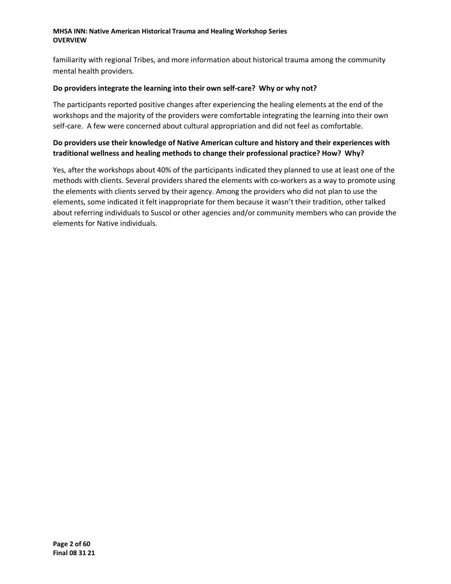familiarity with regional Tribes, and more information about historical trauma among the community mental health providers.

#### **Do providers integrate the learning into their own self-care? Why or why not?**

The participants reported positive changes after experiencing the healing elements at the end of the workshops and the majority of the providers were comfortable integrating the learning into their own self-care. A few were concerned about cultural appropriation and did not feel as comfortable.

### **Do providers use their knowledge of Native American culture and history and their experiences with traditional wellness and healing methods to change their professional practice? How? Why?**

Yes, after the workshops about 40% of the participants indicated they planned to use at least one of the methods with clients. Several providers shared the elements with co-workers as a way to promote using the elements with clients served by their agency. Among the providers who did not plan to use the elements, some indicated it felt inappropriate for them because it wasn't their tradition, other talked about referring individuals to Suscol or other agencies and/or community members who can provide the elements for Native individuals.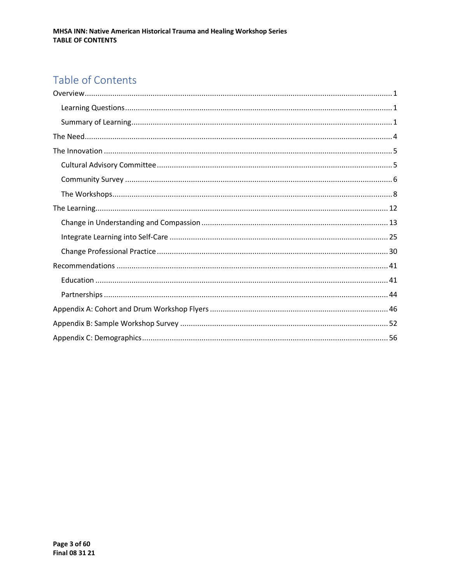# Table of Contents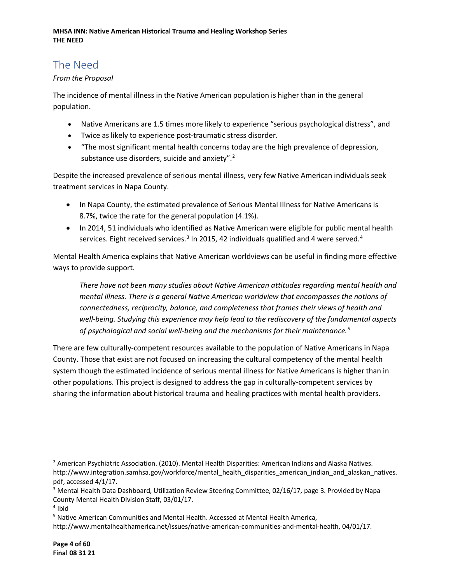# <span id="page-3-0"></span>The Need

### *From the Proposal*

The incidence of mental illness in the Native American population is higher than in the general population.

- Native Americans are 1.5 times more likely to experience "serious psychological distress", and
- Twice as likely to experience post-traumatic stress disorder.
- "The most significant mental health concerns today are the high prevalence of depression, substance use disorders, suicide and anxiety".<sup>[2](#page-3-1)</sup>

Despite the increased prevalence of serious mental illness, very few Native American individuals seek treatment services in Napa County.

- In Napa County, the estimated prevalence of Serious Mental Illness for Native Americans is 8.7%, twice the rate for the general population (4.1%).
- In 2014, 51 individuals who identified as Native American were eligible for public mental health services. Eight received services.<sup>[3](#page-3-2)</sup> In 2015, [4](#page-3-3)2 individuals qualified and 4 were served.<sup>4</sup>

Mental Health America explains that Native American worldviews can be useful in finding more effective ways to provide support.

*There have not been many studies about Native American attitudes regarding mental health and mental illness. There is a general Native American worldview that encompasses the notions of connectedness, reciprocity, balance, and completeness that frames their views of health and well-being. Studying this experience may help lead to the rediscovery of the fundamental aspects of psychological and social well-being and the mechanisms for their maintenance. [5](#page-3-4)*

There are few culturally-competent resources available to the population of Native Americans in Napa County. Those that exist are not focused on increasing the cultural competency of the mental health system though the estimated incidence of serious mental illness for Native Americans is higher than in other populations. This project is designed to address the gap in culturally-competent services by sharing the information about historical trauma and healing practices with mental health providers.

<span id="page-3-1"></span><sup>2</sup> American Psychiatric Association. (2010). Mental Health Disparities: American Indians and Alaska Natives. http://www.integration.samhsa.gov/workforce/mental\_health\_disparities\_american\_indian\_and\_alaskan\_natives. pdf, accessed 4/1/17.

<span id="page-3-2"></span><sup>&</sup>lt;sup>3</sup> Mental Health Data Dashboard, Utilization Review Steering Committee, 02/16/17, page 3. Provided by Napa County Mental Health Division Staff, 03/01/17. 4 Ibid

<span id="page-3-3"></span>

<span id="page-3-4"></span><sup>5</sup> Native American Communities and Mental Health. Accessed at Mental Health America,

http://www.mentalhealthamerica.net/issues/native-american-communities-and-mental-health, 04/01/17.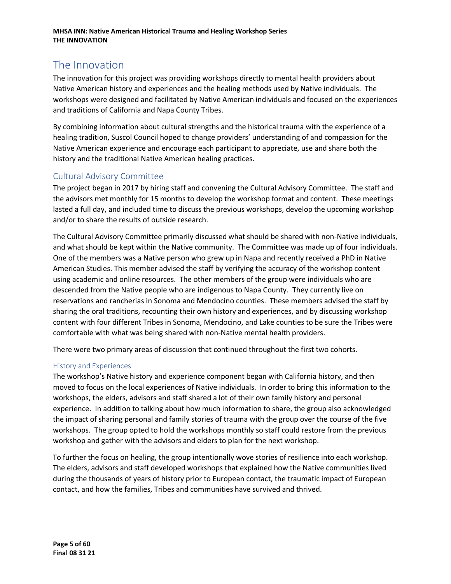# <span id="page-4-0"></span>The Innovation

The innovation for this project was providing workshops directly to mental health providers about Native American history and experiences and the healing methods used by Native individuals. The workshops were designed and facilitated by Native American individuals and focused on the experiences and traditions of California and Napa County Tribes.

By combining information about cultural strengths and the historical trauma with the experience of a healing tradition, Suscol Council hoped to change providers' understanding of and compassion for the Native American experience and encourage each participant to appreciate, use and share both the history and the traditional Native American healing practices.

# <span id="page-4-1"></span>Cultural Advisory Committee

The project began in 2017 by hiring staff and convening the Cultural Advisory Committee. The staff and the advisors met monthly for 15 months to develop the workshop format and content. These meetings lasted a full day, and included time to discuss the previous workshops, develop the upcoming workshop and/or to share the results of outside research.

The Cultural Advisory Committee primarily discussed what should be shared with non-Native individuals, and what should be kept within the Native community. The Committee was made up of four individuals. One of the members was a Native person who grew up in Napa and recently received a PhD in Native American Studies. This member advised the staff by verifying the accuracy of the workshop content using academic and online resources. The other members of the group were individuals who are descended from the Native people who are indigenous to Napa County. They currently live on reservations and rancherias in Sonoma and Mendocino counties. These members advised the staff by sharing the oral traditions, recounting their own history and experiences, and by discussing workshop content with four different Tribes in Sonoma, Mendocino, and Lake counties to be sure the Tribes were comfortable with what was being shared with non-Native mental health providers.

There were two primary areas of discussion that continued throughout the first two cohorts.

#### History and Experiences

The workshop's Native history and experience component began with California history, and then moved to focus on the local experiences of Native individuals. In order to bring this information to the workshops, the elders, advisors and staff shared a lot of their own family history and personal experience. In addition to talking about how much information to share, the group also acknowledged the impact of sharing personal and family stories of trauma with the group over the course of the five workshops. The group opted to hold the workshops monthly so staff could restore from the previous workshop and gather with the advisors and elders to plan for the next workshop.

To further the focus on healing, the group intentionally wove stories of resilience into each workshop. The elders, advisors and staff developed workshops that explained how the Native communities lived during the thousands of years of history prior to European contact, the traumatic impact of European contact, and how the families, Tribes and communities have survived and thrived.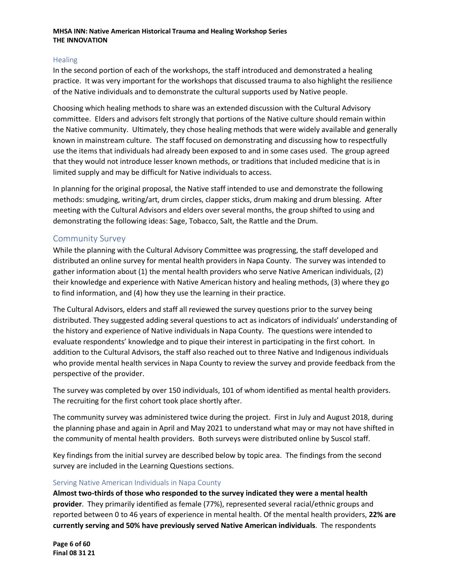#### **Healing**

In the second portion of each of the workshops, the staff introduced and demonstrated a healing practice. It was very important for the workshops that discussed trauma to also highlight the resilience of the Native individuals and to demonstrate the cultural supports used by Native people.

Choosing which healing methods to share was an extended discussion with the Cultural Advisory committee. Elders and advisors felt strongly that portions of the Native culture should remain within the Native community. Ultimately, they chose healing methods that were widely available and generally known in mainstream culture. The staff focused on demonstrating and discussing how to respectfully use the items that individuals had already been exposed to and in some cases used. The group agreed that they would not introduce lesser known methods, or traditions that included medicine that is in limited supply and may be difficult for Native individuals to access.

In planning for the original proposal, the Native staff intended to use and demonstrate the following methods: smudging, writing/art, drum circles, clapper sticks, drum making and drum blessing. After meeting with the Cultural Advisors and elders over several months, the group shifted to using and demonstrating the following ideas: Sage, Tobacco, Salt, the Rattle and the Drum.

### <span id="page-5-0"></span>Community Survey

While the planning with the Cultural Advisory Committee was progressing, the staff developed and distributed an online survey for mental health providers in Napa County. The survey was intended to gather information about (1) the mental health providers who serve Native American individuals, (2) their knowledge and experience with Native American history and healing methods, (3) where they go to find information, and (4) how they use the learning in their practice.

The Cultural Advisors, elders and staff all reviewed the survey questions prior to the survey being distributed. They suggested adding several questions to act as indicators of individuals' understanding of the history and experience of Native individuals in Napa County. The questions were intended to evaluate respondents' knowledge and to pique their interest in participating in the first cohort. In addition to the Cultural Advisors, the staff also reached out to three Native and Indigenous individuals who provide mental health services in Napa County to review the survey and provide feedback from the perspective of the provider.

The survey was completed by over 150 individuals, 101 of whom identified as mental health providers. The recruiting for the first cohort took place shortly after.

The community survey was administered twice during the project. First in July and August 2018, during the planning phase and again in April and May 2021 to understand what may or may not have shifted in the community of mental health providers. Both surveys were distributed online by Suscol staff.

Key findings from the initial survey are described below by topic area. The findings from the second survey are included in the Learning Questions sections.

#### Serving Native American Individuals in Napa County

**Almost two-thirds of those who responded to the survey indicated they were a mental health provider**. They primarily identified as female (77%), represented several racial/ethnic groups and reported between 0 to 46 years of experience in mental health. Of the mental health providers, **22% are currently serving and 50% have previously served Native American individuals**. The respondents

**Page 6 of 60 Final 08 31 21**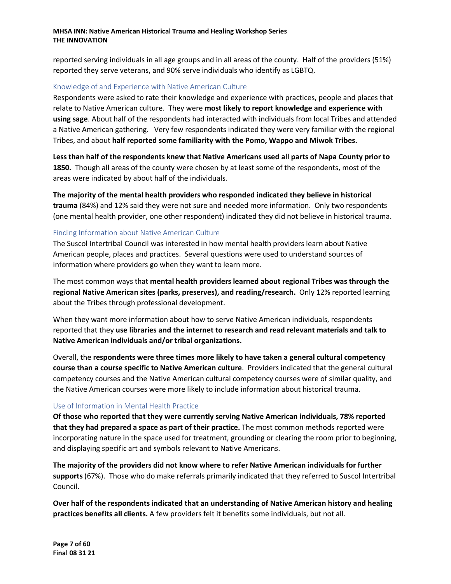reported serving individuals in all age groups and in all areas of the county. Half of the providers (51%) reported they serve veterans, and 90% serve individuals who identify as LGBTQ.

#### Knowledge of and Experience with Native American Culture

Respondents were asked to rate their knowledge and experience with practices, people and places that relate to Native American culture. They were **most likely to report knowledge and experience with using sage**. About half of the respondents had interacted with individuals from local Tribes and attended a Native American gathering. Very few respondents indicated they were very familiar with the regional Tribes, and about **half reported some familiarity with the Pomo, Wappo and Miwok Tribes.** 

**Less than half of the respondents knew that Native Americans used all parts of Napa County prior to 1850.** Though all areas of the county were chosen by at least some of the respondents, most of the areas were indicated by about half of the individuals.

**The majority of the mental health providers who responded indicated they believe in historical trauma** (84%) and 12% said they were not sure and needed more information. Only two respondents (one mental health provider, one other respondent) indicated they did not believe in historical trauma.

#### Finding Information about Native American Culture

The Suscol Intertribal Council was interested in how mental health providers learn about Native American people, places and practices. Several questions were used to understand sources of information where providers go when they want to learn more.

The most common ways that **mental health providers learned about regional Tribes was through the regional Native American sites (parks, preserves), and reading/research.** Only 12% reported learning about the Tribes through professional development.

When they want more information about how to serve Native American individuals, respondents reported that they **use libraries and the internet to research and read relevant materials and talk to Native American individuals and/or tribal organizations.**

Overall, the **respondents were three times more likely to have taken a general cultural competency course than a course specific to Native American culture**. Providers indicated that the general cultural competency courses and the Native American cultural competency courses were of similar quality, and the Native American courses were more likely to include information about historical trauma.

#### Use of Information in Mental Health Practice

**Of those who reported that they were currently serving Native American individuals, 78% reported that they had prepared a space as part of their practice.** The most common methods reported were incorporating nature in the space used for treatment, grounding or clearing the room prior to beginning, and displaying specific art and symbols relevant to Native Americans.

**The majority of the providers did not know where to refer Native American individuals for further supports** (67%). Those who do make referrals primarily indicated that they referred to Suscol Intertribal Council.

**Over half of the respondents indicated that an understanding of Native American history and healing practices benefits all clients.** A few providers felt it benefits some individuals, but not all.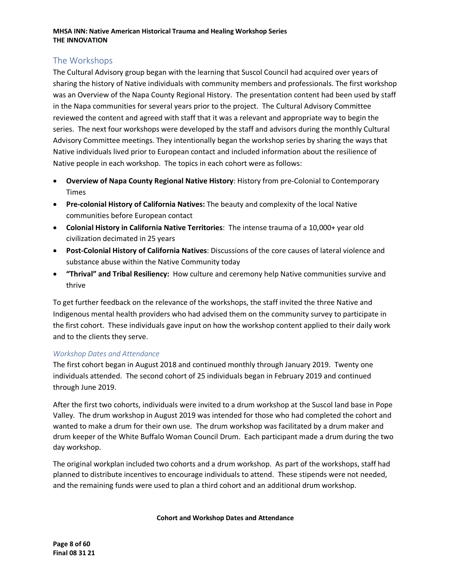# <span id="page-7-0"></span>The Workshops

The Cultural Advisory group began with the learning that Suscol Council had acquired over years of sharing the history of Native individuals with community members and professionals. The first workshop was an Overview of the Napa County Regional History. The presentation content had been used by staff in the Napa communities for several years prior to the project. The Cultural Advisory Committee reviewed the content and agreed with staff that it was a relevant and appropriate way to begin the series. The next four workshops were developed by the staff and advisors during the monthly Cultural Advisory Committee meetings. They intentionally began the workshop series by sharing the ways that Native individuals lived prior to European contact and included information about the resilience of Native people in each workshop. The topics in each cohort were as follows:

- **Overview of Napa County Regional Native History**: History from pre-Colonial to Contemporary Times
- **Pre-colonial History of California Natives:** The beauty and complexity of the local Native communities before European contact
- **Colonial History in California Native Territories**: The intense trauma of a 10,000+ year old civilization decimated in 25 years
- **Post-Colonial History of California Natives**: Discussions of the core causes of lateral violence and substance abuse within the Native Community today
- **"Thrival" and Tribal Resiliency:** How culture and ceremony help Native communities survive and thrive

To get further feedback on the relevance of the workshops, the staff invited the three Native and Indigenous mental health providers who had advised them on the community survey to participate in the first cohort. These individuals gave input on how the workshop content applied to their daily work and to the clients they serve.

#### *Workshop Dates and Attendance*

The first cohort began in August 2018 and continued monthly through January 2019. Twenty one individuals attended. The second cohort of 25 individuals began in February 2019 and continued through June 2019.

After the first two cohorts, individuals were invited to a drum workshop at the Suscol land base in Pope Valley. The drum workshop in August 2019 was intended for those who had completed the cohort and wanted to make a drum for their own use. The drum workshop was facilitated by a drum maker and drum keeper of the White Buffalo Woman Council Drum. Each participant made a drum during the two day workshop.

The original workplan included two cohorts and a drum workshop. As part of the workshops, staff had planned to distribute incentives to encourage individuals to attend. These stipends were not needed, and the remaining funds were used to plan a third cohort and an additional drum workshop.

#### **Cohort and Workshop Dates and Attendance**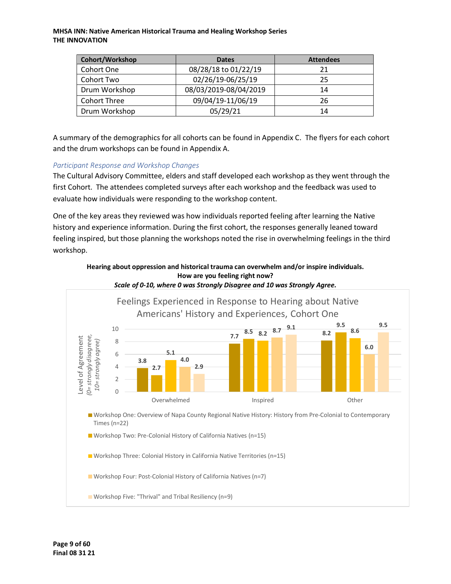| Cohort/Workshop     | <b>Dates</b>          | <b>Attendees</b> |
|---------------------|-----------------------|------------------|
| Cohort One          | 08/28/18 to 01/22/19  | 21               |
| Cohort Two          | 02/26/19-06/25/19     | 25               |
| Drum Workshop       | 08/03/2019-08/04/2019 | 14               |
| <b>Cohort Three</b> | 09/04/19-11/06/19     | 26               |
| Drum Workshop       | 05/29/21              | 14               |

A summary of the demographics for all cohorts can be found in Appendix C. The flyers for each cohort and the drum workshops can be found in Appendix A.

#### *Participant Response and Workshop Changes*

The Cultural Advisory Committee, elders and staff developed each workshop as they went through the first Cohort. The attendees completed surveys after each workshop and the feedback was used to evaluate how individuals were responding to the workshop content.

One of the key areas they reviewed was how individuals reported feeling after learning the Native history and experience information. During the first cohort, the responses generally leaned toward feeling inspired, but those planning the workshops noted the rise in overwhelming feelings in the third workshop.



**How are you feeling right now?**

**Hearing about oppression and historical trauma can overwhelm and/or inspire individuals.**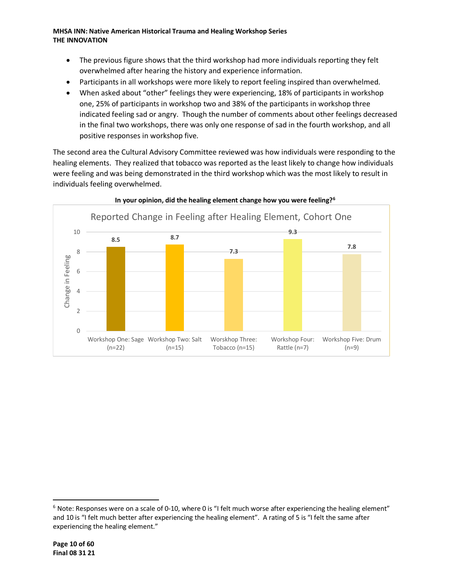- The previous figure shows that the third workshop had more individuals reporting they felt overwhelmed after hearing the history and experience information.
- Participants in all workshops were more likely to report feeling inspired than overwhelmed.
- When asked about "other" feelings they were experiencing, 18% of participants in workshop one, 25% of participants in workshop two and 38% of the participants in workshop three indicated feeling sad or angry. Though the number of comments about other feelings decreased in the final two workshops, there was only one response of sad in the fourth workshop, and all positive responses in workshop five.

The second area the Cultural Advisory Committee reviewed was how individuals were responding to the healing elements. They realized that tobacco was reported as the least likely to change how individuals were feeling and was being demonstrated in the third workshop which was the most likely to result in individuals feeling overwhelmed.



#### **In your opinion, did the healing element change how you were feeling?[6](#page-9-0)**

<span id="page-9-0"></span> $6$  Note: Responses were on a scale of 0-10, where 0 is "I felt much worse after experiencing the healing element" and 10 is "I felt much better after experiencing the healing element". A rating of 5 is "I felt the same after experiencing the healing element."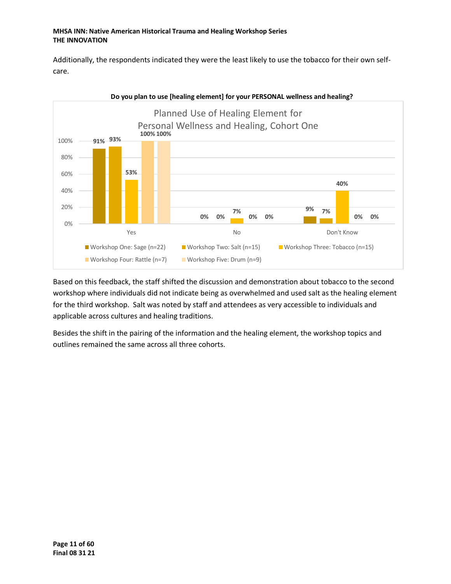Additionally, the respondents indicated they were the least likely to use the tobacco for their own selfcare.



**Do you plan to use [healing element] for your PERSONAL wellness and healing?**

Based on this feedback, the staff shifted the discussion and demonstration about tobacco to the second workshop where individuals did not indicate being as overwhelmed and used salt as the healing element for the third workshop. Salt was noted by staff and attendees as very accessible to individuals and applicable across cultures and healing traditions.

Besides the shift in the pairing of the information and the healing element, the workshop topics and outlines remained the same across all three cohorts.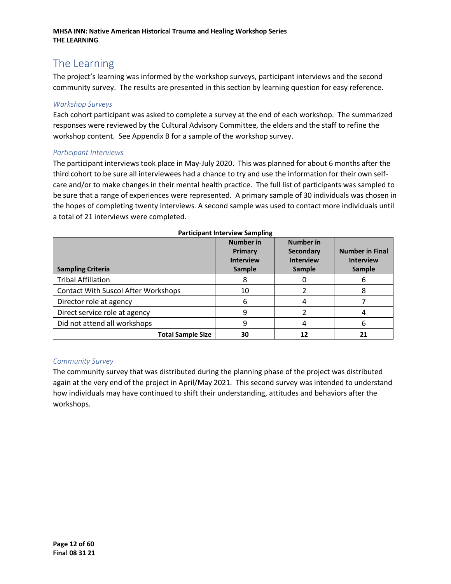# <span id="page-11-0"></span>The Learning

The project's learning was informed by the workshop surveys, participant interviews and the second community survey. The results are presented in this section by learning question for easy reference.

#### *Workshop Surveys*

Each cohort participant was asked to complete a survey at the end of each workshop. The summarized responses were reviewed by the Cultural Advisory Committee, the elders and the staff to refine the workshop content. See Appendix B for a sample of the workshop survey.

#### *Participant Interviews*

The participant interviews took place in May-July 2020. This was planned for about 6 months after the third cohort to be sure all interviewees had a chance to try and use the information for their own selfcare and/or to make changes in their mental health practice. The full list of participants was sampled to be sure that a range of experiences were represented. A primary sample of 30 individuals was chosen in the hopes of completing twenty interviews. A second sample was used to contact more individuals until a total of 21 interviews were completed.

| <b>Sampling Criteria</b>                   | <b>Number in</b><br>Primary<br><b>Interview</b><br><b>Sample</b> | <b>Number in</b><br>Secondary<br><b>Interview</b><br>Sample | <b>Number in Final</b><br><b>Interview</b><br>Sample |
|--------------------------------------------|------------------------------------------------------------------|-------------------------------------------------------------|------------------------------------------------------|
| <b>Tribal Affiliation</b>                  | 8                                                                |                                                             | ь                                                    |
| <b>Contact With Suscol After Workshops</b> | 10                                                               |                                                             | 8                                                    |
| Director role at agency                    | 6                                                                |                                                             |                                                      |
| Direct service role at agency              | 9                                                                |                                                             |                                                      |
| Did not attend all workshops               | 9                                                                |                                                             | 6                                                    |
| <b>Total Sample Size</b>                   | 30                                                               |                                                             | 21                                                   |

#### **Participant Interview Sampling**

#### *Community Survey*

The community survey that was distributed during the planning phase of the project was distributed again at the very end of the project in April/May 2021. This second survey was intended to understand how individuals may have continued to shift their understanding, attitudes and behaviors after the workshops.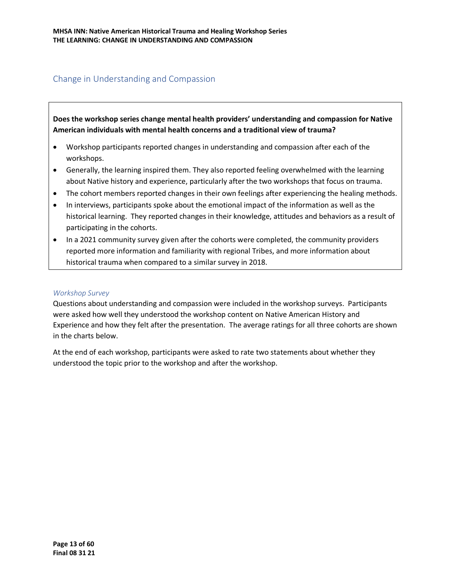# <span id="page-12-0"></span>Change in Understanding and Compassion

**Does the workshop series change mental health providers' understanding and compassion for Native American individuals with mental health concerns and a traditional view of trauma?** 

- Workshop participants reported changes in understanding and compassion after each of the workshops.
- Generally, the learning inspired them. They also reported feeling overwhelmed with the learning about Native history and experience, particularly after the two workshops that focus on trauma.
- The cohort members reported changes in their own feelings after experiencing the healing methods.
- In interviews, participants spoke about the emotional impact of the information as well as the historical learning. They reported changes in their knowledge, attitudes and behaviors as a result of participating in the cohorts.
- In a 2021 community survey given after the cohorts were completed, the community providers reported more information and familiarity with regional Tribes, and more information about historical trauma when compared to a similar survey in 2018.

#### *Workshop Survey*

Questions about understanding and compassion were included in the workshop surveys. Participants were asked how well they understood the workshop content on Native American History and Experience and how they felt after the presentation. The average ratings for all three cohorts are shown in the charts below.

At the end of each workshop, participants were asked to rate two statements about whether they understood the topic prior to the workshop and after the workshop.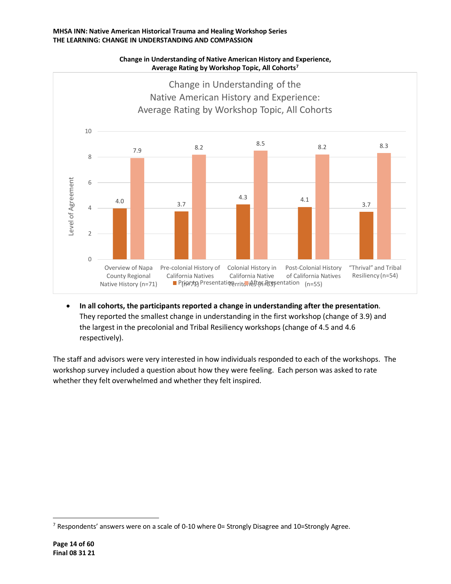#### **MHSA INN: Native American Historical Trauma and Healing Workshop Series THE LEARNING: CHANGE IN UNDERSTANDING AND COMPASSION**



**Change in Understanding of Native American History and Experience, Average Rating by Workshop Topic, All Cohorts[7](#page-13-0)**

• **In all cohorts, the participants reported a change in understanding after the presentation**. They reported the smallest change in understanding in the first workshop (change of 3.9) and the largest in the precolonial and Tribal Resiliency workshops (change of 4.5 and 4.6 respectively).

The staff and advisors were very interested in how individuals responded to each of the workshops. The workshop survey included a question about how they were feeling. Each person was asked to rate whether they felt overwhelmed and whether they felt inspired.

<span id="page-13-0"></span><sup>&</sup>lt;sup>7</sup> Respondents' answers were on a scale of 0-10 where 0= Strongly Disagree and 10=Strongly Agree.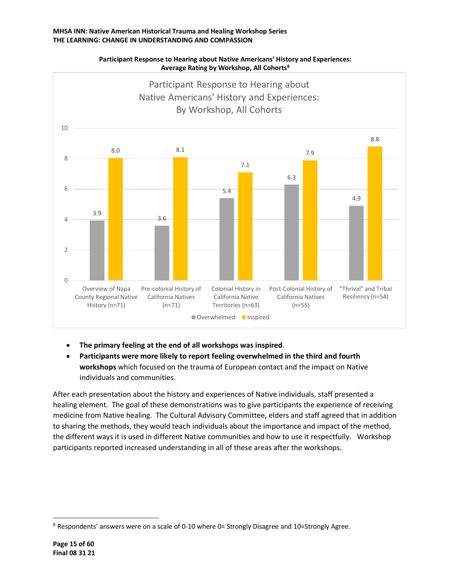

**Participant Response to Hearing about Native Americans' History and Experiences: Average Rating by Workshop, All Cohorts[8](#page-14-0)**

- **The primary feeling at the end of all workshops was inspired**.
- **Participants were more likely to report feeling overwhelmed in the third and fourth workshops** which focused on the trauma of European contact and the impact on Native individuals and communities.

After each presentation about the history and experiences of Native individuals, staff presented a healing element. The goal of these demonstrations was to give participants the experience of receiving medicine from Native healing. The Cultural Advisory Committee, elders and staff agreed that in addition to sharing the methods, they would teach individuals about the importance and impact of the method, the different ways it is used in different Native communities and how to use it respectfully. Workshop participants reported increased understanding in all of these areas after the workshops.

<span id="page-14-0"></span> $8$  Respondents' answers were on a scale of 0-10 where 0= Strongly Disagree and 10=Strongly Agree.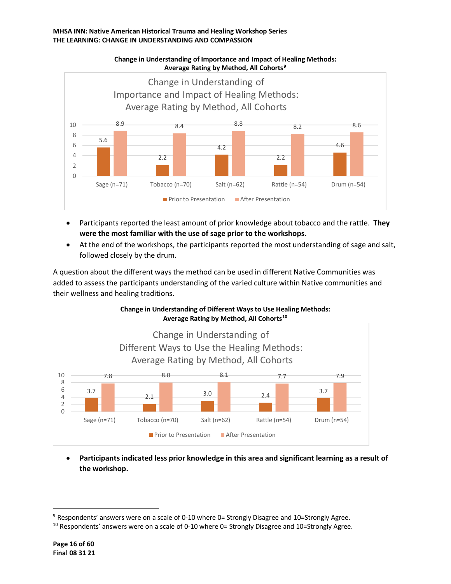

**Change in Understanding of Importance and Impact of Healing Methods: Average Rating by Method, All Cohorts[9](#page-15-0)**

- Participants reported the least amount of prior knowledge about tobacco and the rattle. **They were the most familiar with the use of sage prior to the workshops.**
- At the end of the workshops, the participants reported the most understanding of sage and salt, followed closely by the drum.

A question about the different ways the method can be used in different Native Communities was added to assess the participants understanding of the varied culture within Native communities and their wellness and healing traditions.



**Change in Understanding of Different Ways to Use Healing Methods:**

• **Participants indicated less prior knowledge in this area and significant learning as a result of the workshop.**

<span id="page-15-1"></span><span id="page-15-0"></span><sup>&</sup>lt;sup>9</sup> Respondents' answers were on a scale of 0-10 where 0= Strongly Disagree and 10=Strongly Agree.<br><sup>10</sup> Respondents' answers were on a scale of 0-10 where 0= Strongly Disagree and 10=Strongly Agree.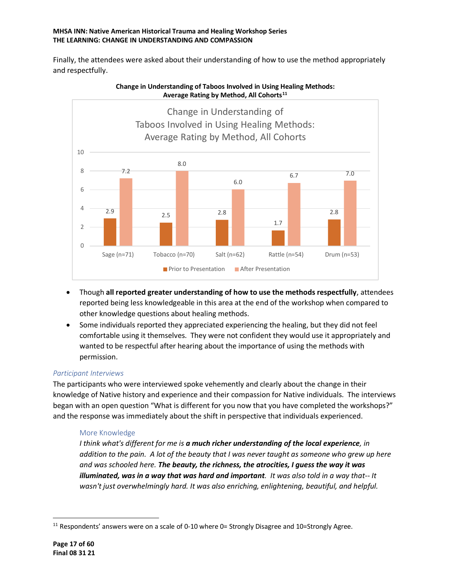#### **MHSA INN: Native American Historical Trauma and Healing Workshop Series THE LEARNING: CHANGE IN UNDERSTANDING AND COMPASSION**

Finally, the attendees were asked about their understanding of how to use the method appropriately and respectfully.



#### **Change in Understanding of Taboos Involved in Using Healing Methods: Average Rating by Method, All Cohorts[11](#page-16-0)**

- Though **all reported greater understanding of how to use the methods respectfully**, attendees reported being less knowledgeable in this area at the end of the workshop when compared to other knowledge questions about healing methods.
- Some individuals reported they appreciated experiencing the healing, but they did not feel comfortable using it themselves. They were not confident they would use it appropriately and wanted to be respectful after hearing about the importance of using the methods with permission.

#### *Participant Interviews*

The participants who were interviewed spoke vehemently and clearly about the change in their knowledge of Native history and experience and their compassion for Native individuals. The interviews began with an open question "What is different for you now that you have completed the workshops?" and the response was immediately about the shift in perspective that individuals experienced.

#### More Knowledge

*I think what's different for me is a much richer understanding of the local experience, in addition to the pain. A lot of the beauty that I was never taught as someone who grew up here and was schooled here. The beauty, the richness, the atrocities, I guess the way it was illuminated, was in a way that was hard and important. It was also told in a way that-- It wasn't just overwhelmingly hard. It was also enriching, enlightening, beautiful, and helpful.* 

<span id="page-16-0"></span> $11$  Respondents' answers were on a scale of 0-10 where 0= Strongly Disagree and 10=Strongly Agree.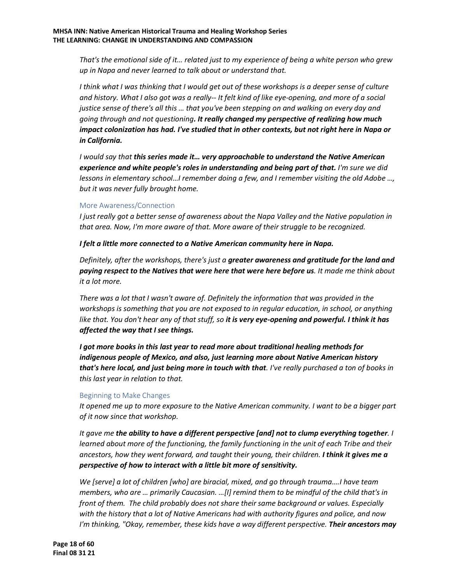*That's the emotional side of it… related just to my experience of being a white person who grew up in Napa and never learned to talk about or understand that.*

*I think what I was thinking that I would get out of these workshops is a deeper sense of culture and history. What I also got was a really-- It felt kind of like eye-opening, and more of a social justice sense of there's all this … that you've been stepping on and walking on every day and going through and not questioning. It really changed my perspective of realizing how much impact colonization has had. I've studied that in other contexts, but not right here in Napa or in California.*

*I would say that this series made it… very approachable to understand the Native American experience and white people's roles in understanding and being part of that. I'm sure we did lessons in elementary school…I remember doing a few, and I remember visiting the old Adobe …, but it was never fully brought home.*

#### More Awareness/Connection

*I just really got a better sense of awareness about the Napa Valley and the Native population in that area. Now, I'm more aware of that. More aware of their struggle to be recognized.*

*I felt a little more connected to a Native American community here in Napa.* 

*Definitely, after the workshops, there's just a greater awareness and gratitude for the land and paying respect to the Natives that were here that were here before us. It made me think about it a lot more.* 

*There was a lot that I wasn't aware of. Definitely the information that was provided in the workshops is something that you are not exposed to in regular education, in school, or anything like that. You don't hear any of that stuff, so it is very eye-opening and powerful. I think it has affected the way that I see things.*

*I got more books in this last year to read more about traditional healing methods for indigenous people of Mexico, and also, just learning more about Native American history that's here local, and just being more in touch with that. I've really purchased a ton of books in this last year in relation to that.*

#### Beginning to Make Changes

*It opened me up to more exposure to the Native American community. I want to be a bigger part of it now since that workshop.*

*It gave me the ability to have a different perspective [and] not to clump everything together. I learned about more of the functioning, the family functioning in the unit of each Tribe and their ancestors, how they went forward, and taught their young, their children. I think it gives me a perspective of how to interact with a little bit more of sensitivity.*

*We [serve] a lot of children [who] are biracial, mixed, and go through trauma….I have team members, who are … primarily Caucasian. …[I] remind them to be mindful of the child that's in front of them. The child probably does not share their same background or values. Especially with the history that a lot of Native Americans had with authority figures and police, and now I'm thinking, "Okay, remember, these kids have a way different perspective. Their ancestors may*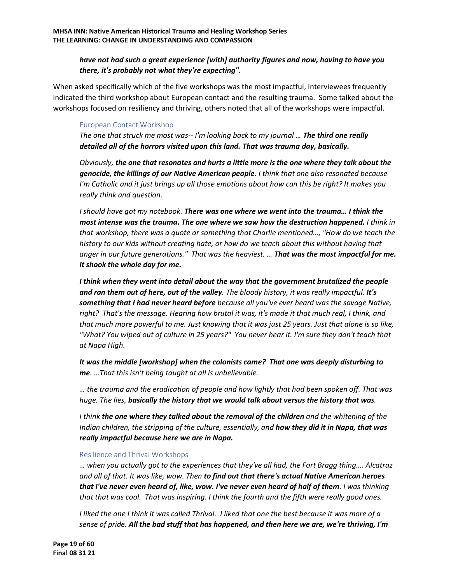#### *have not had such a great experience [with] authority figures and now, having to have you there, it's probably not what they're expecting".*

When asked specifically which of the five workshops was the most impactful, interviewees frequently indicated the third workshop about European contact and the resulting trauma. Some talked about the workshops focused on resiliency and thriving, others noted that all of the workshops were impactful.

#### European Contact Workshop

*The one that struck me most was-- I'm looking back to my journal … The third one really detailed all of the horrors visited upon this land. That was trauma day, basically.*

*Obviously, the one that resonates and hurts a little more is the one where they talk about the genocide, the killings of our Native American people. I think that one also resonated because I'm Catholic and it just brings up all those emotions about how can this be right? It makes you really think and question.*

*I should have got my notebook. There was one where we went into the trauma… I think the most intense was the trauma. The one where we saw how the destruction happened. I think in that workshop, there was a quote or something that Charlie mentioned…, "How do we teach the history to our kids without creating hate, or how do we teach about this without having that anger in our future generations." That was the heaviest. … That was the most impactful for me. It shook the whole day for me.*

*I think when they went into detail about the way that the government brutalized the people and ran them out of here, out of the valley. The bloody history, it was really impactful. It's something that I had never heard before because all you've ever heard was the savage Native, right? That's the message. Hearing how brutal it was, it's made it that much real, I think, and that much more powerful to me. Just knowing that it was just 25 years. Just that alone is so like, "What? You wiped out of culture in 25 years?" You never hear it. I'm sure they don't teach that at Napa High.*

*It was the middle [workshop] when the colonists came? That one was deeply disturbing to me. …That this isn't being taught at all is unbelievable.*

*… the trauma and the eradication of people and how lightly that had been spoken off. That was huge. The lies, basically the history that we would talk about versus the history that was.*

*I think the one where they talked about the removal of the children and the whitening of the Indian children, the stripping of the culture, essentially, and how they did it in Napa, that was really impactful because here we are in Napa.* 

#### Resilience and Thrival Workshops

*… when you actually got to the experiences that they've all had, the Fort Bragg thing…. Alcatraz and all of that. It was like, wow. Then to find out that there's actual Native American heroes that I've never even heard of, like, wow. I've never even heard of half of them. I was thinking that that was cool. That was inspiring. I think the fourth and the fifth were really good ones.*

*I liked the one I think it was called Thrival. I liked that one the best because it was more of a sense of pride. All the bad stuff that has happened, and then here we are, we're thriving, I'm*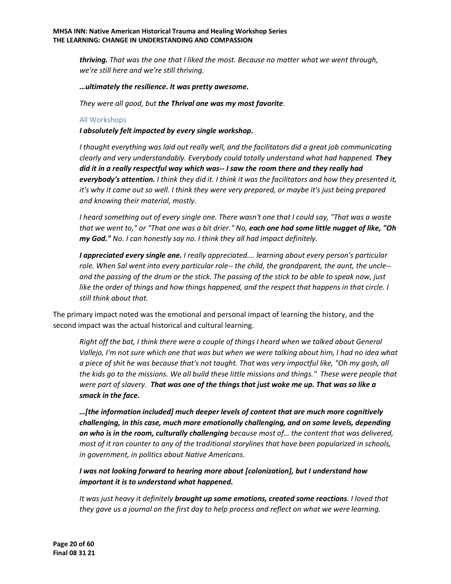*thriving. That was the one that I liked the most. Because no matter what we went through, we're still here and we're still thriving.*

#### *…ultimately the resilience. It was pretty awesome.*

*They were all good, but the Thrival one was my most favorite.* 

#### All Workshops

*I absolutely felt impacted by every single workshop.*

*I thought everything was laid out really well, and the facilitators did a great job communicating clearly and very understandably. Everybody could totally understand what had happened. They did it in a really respectful way which was-- I saw the room there and they really had everybody's attention. I think they did it. I think it was the facilitators and how they presented it, it's why it came out so well. I think they were very prepared, or maybe it's just being prepared and knowing their material, mostly.*

*I heard something out of every single one. There wasn't one that I could say, "That was a waste that we went to," or "That one was a bit drier." No, each one had some little nugget of like, "Oh my God." No. I can honestly say no. I think they all had impact definitely.*

*I appreciated every single one. I really appreciated…. learning about every person's particular role. When Sal went into every particular role-- the child, the grandparent, the aunt, the uncle- and the passing of the drum or the stick. The passing of the stick to be able to speak now, just like the order of things and how things happened, and the respect that happens in that circle. I still think about that.*

The primary impact noted was the emotional and personal impact of learning the history, and the second impact was the actual historical and cultural learning.

*Right off the bat, I think there were a couple of things I heard when we talked about General*  Vallejo, I'm not sure which one that was but when we were talking about him, I had no idea what *a piece of shit he was because that's not taught. That was very impactful like, "Oh my gosh, all the kids go to the missions. We all build these little missions and things." These were people that were part of slavery. That was one of the things that just woke me up. That was so like a smack in the face.*

*…[the information included] much deeper levels of content that are much more cognitively challenging, in this case, much more emotionally challenging, and on some levels, depending on who is in the room, culturally challenging because most of… the content that was delivered, most of it ran counter to any of the traditional storylines that have been popularized in schools, in government, in politics about Native Americans.*

*I was not looking forward to hearing more about [colonization], but I understand how important it is to understand what happened.*

*It was just heavy it definitely brought up some emotions, created some reactions. I loved that they gave us a journal on the first day to help process and reflect on what we were learning.*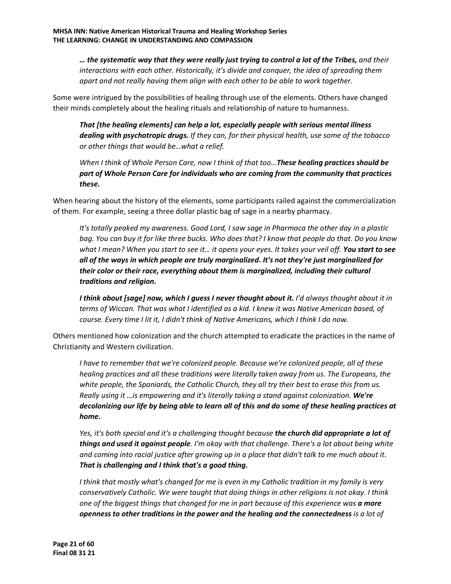*… the systematic way that they were really just trying to control a lot of the Tribes, and their interactions with each other. Historically, it's divide and conquer, the idea of spreading them apart and not really having them align with each other to be able to work together.*

Some were intrigued by the possibilities of healing through use of the elements. Others have changed their minds completely about the healing rituals and relationship of nature to humanness.

*That [the healing elements] can help a lot, especially people with serious mental illness dealing with psychotropic drugs. If they can, for their physical health, use some of the tobacco or other things that would be…what a relief.*

*When I think of Whole Person Care, now I think of that too…These healing practices should be part of Whole Person Care for individuals who are coming from the community that practices these.*

When hearing about the history of the elements, some participants railed against the commercialization of them. For example, seeing a three dollar plastic bag of sage in a nearby pharmacy.

*It's totally peaked my awareness. Good Lord, I saw sage in Pharmaca the other day in a plastic bag. You can buy it for like three bucks. Who does that? I know that people do that. Do you know what I mean? When you start to see it… it opens your eyes. It takes your veil off. You start to see all of the ways in which people are truly marginalized. It's not they're just marginalized for their color or their race, everything about them is marginalized, including their cultural traditions and religion.*

*I think about [sage] now, which I guess I never thought about it. I'd always thought about it in terms of Wiccan. That was what I identified as a kid. I knew it was Native American based, of course. Every time I lit it, I didn't think of Native Americans, which I think I do now.*

Others mentioned how colonization and the church attempted to eradicate the practices in the name of Christianity and Western civilization.

*I have to remember that we're colonized people. Because we're colonized people, all of these healing practices and all these traditions were literally taken away from us. The Europeans, the white people, the Spaniards, the Catholic Church, they all try their best to erase this from us. Really using it …is empowering and it's literally taking a stand against colonization. We're decolonizing our life by being able to learn all of this and do some of these healing practices at home.*

*Yes, it's both special and it's a challenging thought because the church did appropriate a lot of things and used it against people. I'm okay with that challenge. There's a lot about being white and coming into racial justice after growing up in a place that didn't talk to me much about it. That is challenging and I think that's a good thing.*

*I think that mostly what's changed for me is even in my Catholic tradition in my family is very conservatively Catholic. We were taught that doing things in other religions is not okay. I think one of the biggest things that changed for me in part because of this experience was a more openness to other traditions in the power and the healing and the connectedness is a lot of*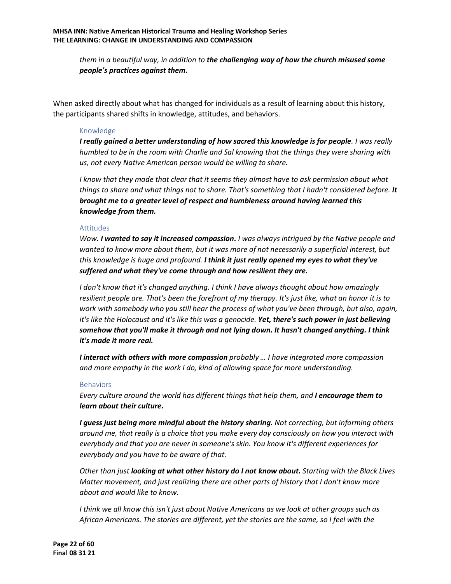*them in a beautiful way, in addition to the challenging way of how the church misused some people's practices against them.*

When asked directly about what has changed for individuals as a result of learning about this history, the participants shared shifts in knowledge, attitudes, and behaviors.

#### Knowledge

*I really gained a better understanding of how sacred this knowledge is for people. I was really humbled to be in the room with Charlie and Sal knowing that the things they were sharing with us, not every Native American person would be willing to share.* 

*I know that they made that clear that it seems they almost have to ask permission about what things to share and what things not to share. That's something that I hadn't considered before. It brought me to a greater level of respect and humbleness around having learned this knowledge from them.*

#### Attitudes

*Wow. I wanted to say it increased compassion. I was always intrigued by the Native people and wanted to know more about them, but it was more of not necessarily a superficial interest, but this knowledge is huge and profound. I think it just really opened my eyes to what they've suffered and what they've come through and how resilient they are.*

*I don't know that it's changed anything. I think I have always thought about how amazingly resilient people are. That's been the forefront of my therapy. It's just like, what an honor it is to work with somebody who you still hear the process of what you've been through, but also, again, it's like the Holocaust and it's like this was a genocide. Yet, there's such power in just believing somehow that you'll make it through and not lying down. It hasn't changed anything. I think it's made it more real.*

*I interact with others with more compassion probably … I have integrated more compassion and more empathy in the work I do, kind of allowing space for more understanding.*

#### Behaviors

*Every culture around the world has different things that help them, and I encourage them to learn about their culture.*

*I guess just being more mindful about the history sharing. Not correcting, but informing others around me, that really is a choice that you make every day consciously on how you interact with everybody and that you are never in someone's skin. You know it's different experiences for everybody and you have to be aware of that.*

*Other than just looking at what other history do I not know about. Starting with the Black Lives Matter movement, and just realizing there are other parts of history that I don't know more about and would like to know.*

*I think we all know this isn't just about Native Americans as we look at other groups such as African Americans. The stories are different, yet the stories are the same, so I feel with the*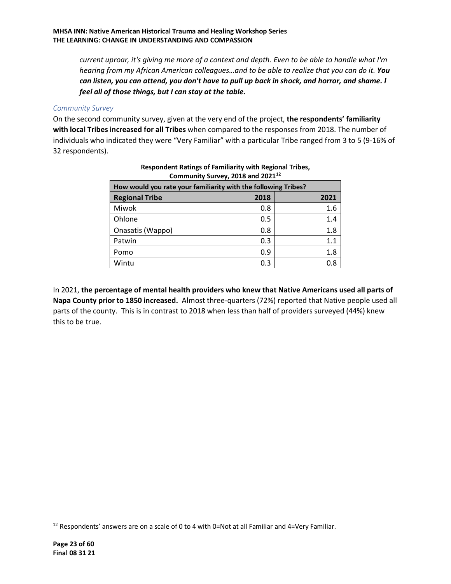*current uproar, it's giving me more of a context and depth. Even to be able to handle what I'm hearing from my African American colleagues…and to be able to realize that you can do it. You can listen, you can attend, you don't have to pull up back in shock, and horror, and shame. I feel all of those things, but I can stay at the table.*

#### *Community Survey*

On the second community survey, given at the very end of the project, **the respondents' familiarity with local Tribes increased for all Tribes** when compared to the responses from 2018. The number of individuals who indicated they were "Very Familiar" with a particular Tribe ranged from 3 to 5 (9-16% of 32 respondents).

| Community Survey, 2018 and 2021 <sup>12</sup>                  |     |     |  |  |  |  |  |  |  |
|----------------------------------------------------------------|-----|-----|--|--|--|--|--|--|--|
| How would you rate your familiarity with the following Tribes? |     |     |  |  |  |  |  |  |  |
| <b>Regional Tribe</b><br>2018<br>2021                          |     |     |  |  |  |  |  |  |  |
| Miwok                                                          | 0.8 | 1.6 |  |  |  |  |  |  |  |
| Ohlone                                                         | 0.5 | 1.4 |  |  |  |  |  |  |  |
| Onasatis (Wappo)                                               | 0.8 | 1.8 |  |  |  |  |  |  |  |
| Patwin                                                         | 0.3 | 1.1 |  |  |  |  |  |  |  |
| Pomo                                                           | 0.9 | 1.8 |  |  |  |  |  |  |  |
| Wintu                                                          | 0.3 | 0.8 |  |  |  |  |  |  |  |

#### **Respondent Ratings of Familiarity with Regional Tribes, Community Survey, 2018 and 2021[12](#page-22-0)**

In 2021, **the percentage of mental health providers who knew that Native Americans used all parts of Napa County prior to 1850 increased.** Almost three-quarters (72%) reported that Native people used all parts of the county. This is in contrast to 2018 when less than half of providers surveyed (44%) knew this to be true.

<span id="page-22-0"></span> $12$  Respondents' answers are on a scale of 0 to 4 with 0=Not at all Familiar and 4=Very Familiar.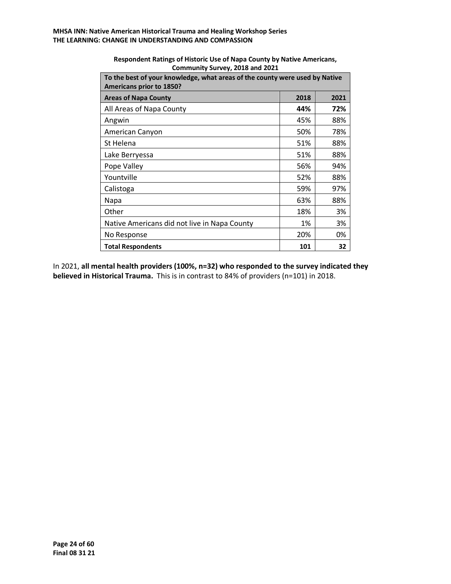| To the best of your knowledge, what areas of the county were used by Native<br>Americans prior to 1850? |      |      |  |  |  |  |  |  |
|---------------------------------------------------------------------------------------------------------|------|------|--|--|--|--|--|--|
| <b>Areas of Napa County</b>                                                                             | 2018 | 2021 |  |  |  |  |  |  |
| All Areas of Napa County                                                                                | 44%  | 72%  |  |  |  |  |  |  |
| Angwin                                                                                                  | 45%  | 88%  |  |  |  |  |  |  |
| American Canyon                                                                                         | 50%  | 78%  |  |  |  |  |  |  |
| St Helena                                                                                               | 51%  | 88%  |  |  |  |  |  |  |
| Lake Berryessa                                                                                          | 51%  | 88%  |  |  |  |  |  |  |
| Pope Valley                                                                                             | 56%  | 94%  |  |  |  |  |  |  |
| Yountville                                                                                              | 52%  | 88%  |  |  |  |  |  |  |
| Calistoga                                                                                               | 59%  | 97%  |  |  |  |  |  |  |
| Napa                                                                                                    | 63%  | 88%  |  |  |  |  |  |  |
| Other                                                                                                   | 18%  | 3%   |  |  |  |  |  |  |
| Native Americans did not live in Napa County                                                            | 1%   | 3%   |  |  |  |  |  |  |
| No Response                                                                                             | 20%  | 0%   |  |  |  |  |  |  |
| <b>Total Respondents</b>                                                                                | 101  | 32   |  |  |  |  |  |  |

**Respondent Ratings of Historic Use of Napa County by Native Americans, Community Survey, 2018 and 2021**

In 2021, **all mental health providers (100%, n=32) who responded to the survey indicated they believed in Historical Trauma.** This is in contrast to 84% of providers (n=101) in 2018.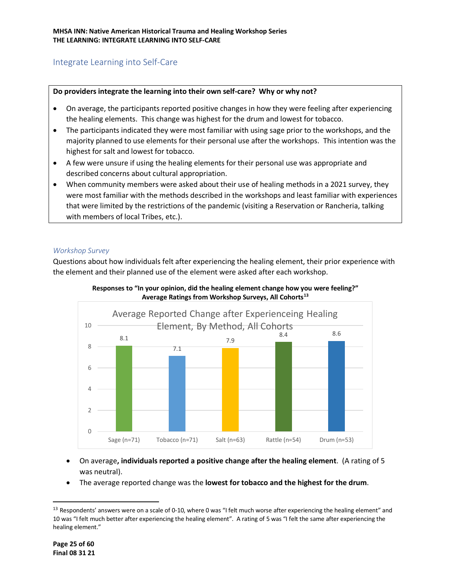# <span id="page-24-0"></span>Integrate Learning into Self-Care

#### **Do providers integrate the learning into their own self-care? Why or why not?**

- On average, the participants reported positive changes in how they were feeling after experiencing the healing elements. This change was highest for the drum and lowest for tobacco.
- The participants indicated they were most familiar with using sage prior to the workshops, and the majority planned to use elements for their personal use after the workshops. This intention was the highest for salt and lowest for tobacco.
- A few were unsure if using the healing elements for their personal use was appropriate and described concerns about cultural appropriation.
- When community members were asked about their use of healing methods in a 2021 survey, they were most familiar with the methods described in the workshops and least familiar with experiences that were limited by the restrictions of the pandemic (visiting a Reservation or Rancheria, talking with members of local Tribes, etc.).

#### *Workshop Survey*

Questions about how individuals felt after experiencing the healing element, their prior experience with the element and their planned use of the element were asked after each workshop.



**Responses to "In your opinion, did the healing element change how you were feeling?" Average Ratings from Workshop Surveys, All Cohorts[13](#page-24-1)**

- On average**, individuals reported a positive change after the healing element**. (A rating of 5 was neutral).
- The average reported change was the **lowest for tobacco and the highest for the drum**.

<span id="page-24-1"></span><sup>&</sup>lt;sup>13</sup> Respondents' answers were on a scale of 0-10, where 0 was "I felt much worse after experiencing the healing element" and 10 was "I felt much better after experiencing the healing element". A rating of 5 was "I felt the same after experiencing the healing element."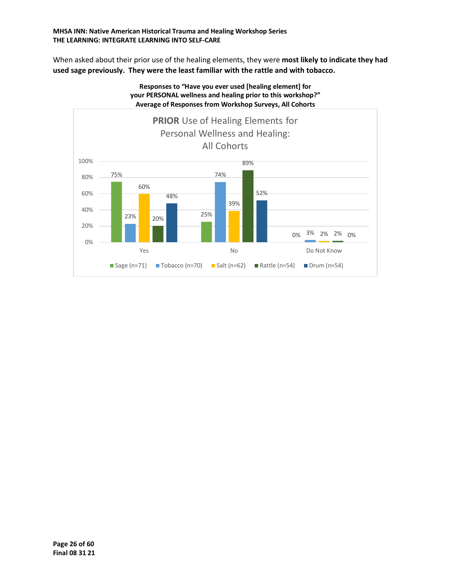#### **MHSA INN: Native American Historical Trauma and Healing Workshop Series THE LEARNING: INTEGRATE LEARNING INTO SELF-CARE**

When asked about their prior use of the healing elements, they were **most likely to indicate they had used sage previously. They were the least familiar with the rattle and with tobacco.**



**Responses to "Have you ever used [healing element] for**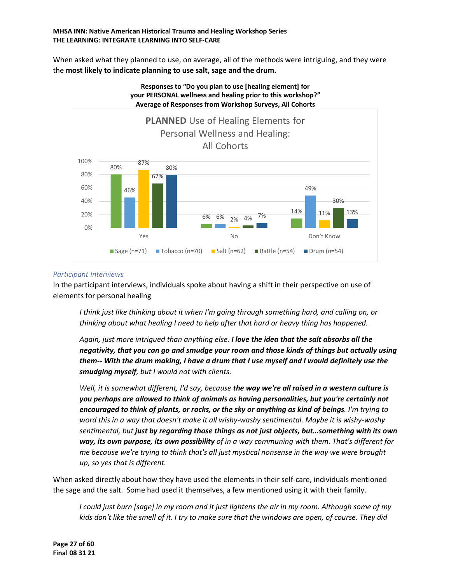#### **MHSA INN: Native American Historical Trauma and Healing Workshop Series THE LEARNING: INTEGRATE LEARNING INTO SELF-CARE**

When asked what they planned to use, on average, all of the methods were intriguing, and they were the **most likely to indicate planning to use salt, sage and the drum.**



# **Responses to "Do you plan to use [healing element] for your PERSONAL wellness and healing prior to this workshop?"**

#### *Participant Interviews*

In the participant interviews, individuals spoke about having a shift in their perspective on use of elements for personal healing

*I think just like thinking about it when I'm going through something hard, and calling on, or thinking about what healing I need to help after that hard or heavy thing has happened.*

*Again, just more intrigued than anything else. I love the idea that the salt absorbs all the negativity, that you can go and smudge your room and those kinds of things but actually using them-- With the drum making, I have a drum that I use myself and I would definitely use the smudging myself, but I would not with clients.*

*Well, it is somewhat different, I'd say, because the way we're all raised in a western culture is you perhaps are allowed to think of animals as having personalities, but you're certainly not encouraged to think of plants, or rocks, or the sky or anything as kind of beings. I'm trying to word this in a way that doesn't make it all wishy-washy sentimental. Maybe it is wishy-washy sentimental, but just by regarding those things as not just objects, but…something with its own way, its own purpose, its own possibility of in a way communing with them. That's different for me because we're trying to think that's all just mystical nonsense in the way we were brought up, so yes that is different.*

When asked directly about how they have used the elements in their self-care, individuals mentioned the sage and the salt. Some had used it themselves, a few mentioned using it with their family.

*I could just burn [sage] in my room and it just lightens the air in my room. Although some of my kids don't like the smell of it. I try to make sure that the windows are open, of course. They did*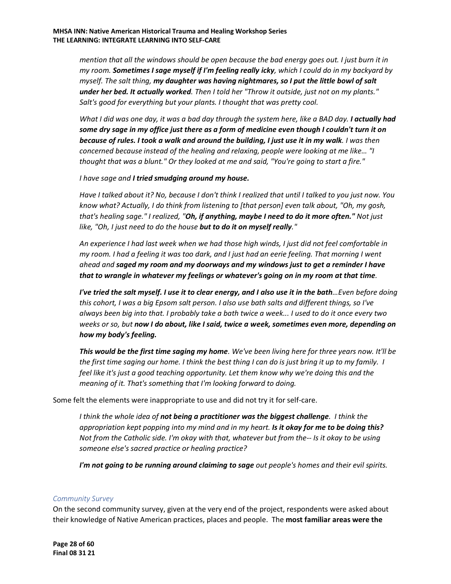*mention that all the windows should be open because the bad energy goes out. I just burn it in my room. Sometimes I sage myself if I'm feeling really icky, which I could do in my backyard by myself. The salt thing, my daughter was having nightmares, so I put the little bowl of salt under her bed. It actually worked. Then I told her "Throw it outside, just not on my plants." Salt's good for everything but your plants. I thought that was pretty cool.*

*What I did was one day, it was a bad day through the system here, like a BAD day. I actually had some dry sage in my office just there as a form of medicine even though I couldn't turn it on because of rules. I took a walk and around the building, I just use it in my walk. I was then concerned because instead of the healing and relaxing, people were looking at me like… "I thought that was a blunt." Or they looked at me and said, "You're going to start a fire."*

*I have sage and I tried smudging around my house.*

*Have I talked about it? No, because I don't think I realized that until I talked to you just now. You know what? Actually, I do think from listening to [that person] even talk about, "Oh, my gosh, that's healing sage." I realized, "Oh, if anything, maybe I need to do it more often." Not just like, "Oh, I just need to do the house but to do it on myself really."*

*An experience I had last week when we had those high winds, I just did not feel comfortable in my room. I had a feeling it was too dark, and I just had an eerie feeling. That morning I went ahead and saged my room and my doorways and my windows just to get a reminder I have that to wrangle in whatever my feelings or whatever's going on in my room at that time.*

*I've tried the salt myself. I use it to clear energy, and I also use it in the bath…Even before doing this cohort, I was a big Epsom salt person. I also use bath salts and different things, so I've always been big into that. I probably take a bath twice a week... I used to do it once every two weeks or so, but now I do about, like I said, twice a week, sometimes even more, depending on how my body's feeling.*

*This would be the first time saging my home. We've been living here for three years now. It'll be the first time saging our home. I think the best thing I can do is just bring it up to my family. I feel like it's just a good teaching opportunity. Let them know why we're doing this and the meaning of it. That's something that I'm looking forward to doing.*

Some felt the elements were inappropriate to use and did not try it for self-care.

*I think the whole idea of not being a practitioner was the biggest challenge. I think the appropriation kept popping into my mind and in my heart. Is it okay for me to be doing this? Not from the Catholic side. I'm okay with that, whatever but from the-- Is it okay to be using someone else's sacred practice or healing practice?*

*I'm not going to be running around claiming to sage out people's homes and their evil spirits.* 

#### *Community Survey*

On the second community survey, given at the very end of the project, respondents were asked about their knowledge of Native American practices, places and people. The **most familiar areas were the**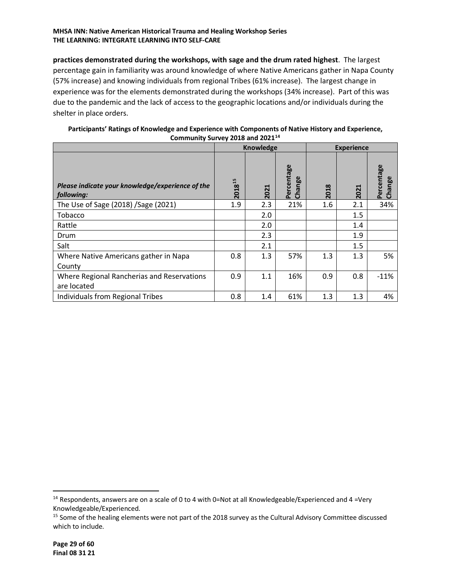#### **MHSA INN: Native American Historical Trauma and Healing Workshop Series THE LEARNING: INTEGRATE LEARNING INTO SELF-CARE**

**practices demonstrated during the workshops, with sage and the drum rated highest**. The largest percentage gain in familiarity was around knowledge of where Native Americans gather in Napa County (57% increase) and knowing individuals from regional Tribes (61% increase). The largest change in experience was for the elements demonstrated during the workshops (34% increase). Part of this was due to the pandemic and the lack of access to the geographic locations and/or individuals during the shelter in place orders.

| Participants' Ratings of Knowledge and Experience with Components of Native History and Experience, |                                       |        |  |  |  |  |  |
|-----------------------------------------------------------------------------------------------------|---------------------------------------|--------|--|--|--|--|--|
|                                                                                                     | Community Survey 2018 and $2021^{14}$ |        |  |  |  |  |  |
|                                                                                                     |                                       | ______ |  |  |  |  |  |

|                                                                |        | <b>Knowledge</b> |                      |      | <b>Experience</b> |                               |
|----------------------------------------------------------------|--------|------------------|----------------------|------|-------------------|-------------------------------|
| Please indicate your knowledge/experience of the<br>following: | 201815 | 2021             | Percentage<br>Change | 2018 | ᆗ<br>202          | ōο<br>rcenta<br>ang<br>ھ<br>동 |
| The Use of Sage (2018) / Sage (2021)                           | 1.9    | 2.3              | 21%                  | 1.6  | 2.1               | 34%                           |
| Tobacco                                                        |        | 2.0              |                      |      | 1.5               |                               |
| Rattle                                                         |        | 2.0              |                      |      | 1.4               |                               |
| Drum                                                           |        | 2.3              |                      |      | 1.9               |                               |
| Salt                                                           |        | 2.1              |                      |      | 1.5               |                               |
| Where Native Americans gather in Napa<br>County                | 0.8    | 1.3              | 57%                  | 1.3  | 1.3               | 5%                            |
| Where Regional Rancherias and Reservations<br>are located      | 0.9    | 1.1              | 16%                  | 0.9  | 0.8               | $-11%$                        |
| Individuals from Regional Tribes                               | 0.8    | 1.4              | 61%                  | 1.3  | 1.3               | 4%                            |

<span id="page-28-0"></span> $14$  Respondents, answers are on a scale of 0 to 4 with 0=Not at all Knowledgeable/Experienced and 4 =Very Knowledgeable/Experienced.<br><sup>15</sup> Some of the healing elements were not part of the 2018 survey as the Cultural Advisory Committee discussed

which to include.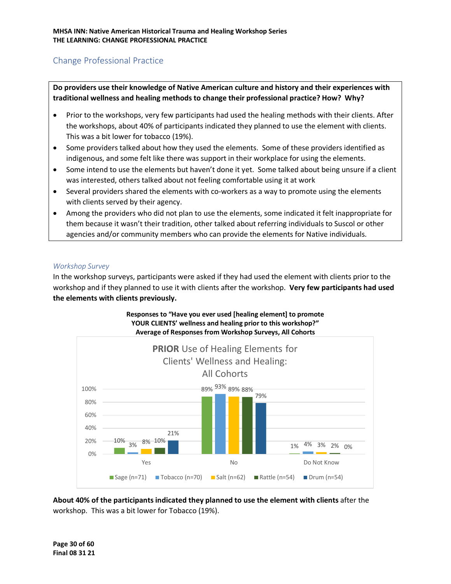# <span id="page-29-0"></span>Change Professional Practice

**Do providers use their knowledge of Native American culture and history and their experiences with traditional wellness and healing methods to change their professional practice? How? Why?**

- Prior to the workshops, very few participants had used the healing methods with their clients. After the workshops, about 40% of participants indicated they planned to use the element with clients. This was a bit lower for tobacco (19%).
- Some providers talked about how they used the elements. Some of these providers identified as indigenous, and some felt like there was support in their workplace for using the elements.
- Some intend to use the elements but haven't done it yet. Some talked about being unsure if a client was interested, others talked about not feeling comfortable using it at work
- Several providers shared the elements with co-workers as a way to promote using the elements with clients served by their agency.
- Among the providers who did not plan to use the elements, some indicated it felt inappropriate for them because it wasn't their tradition, other talked about referring individuals to Suscol or other agencies and/or community members who can provide the elements for Native individuals.

#### *Workshop Survey*

In the workshop surveys, participants were asked if they had used the element with clients prior to the workshop and if they planned to use it with clients after the workshop. **Very few participants had used the elements with clients previously.** 



**About 40% of the participants indicated they planned to use the element with clients** after the workshop. This was a bit lower for Tobacco (19%).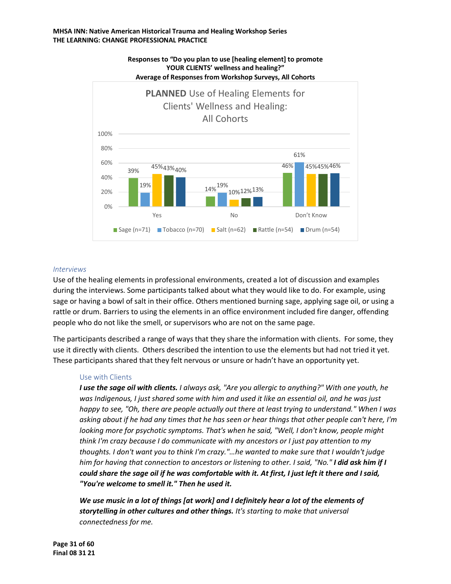

# **Responses to "Do you plan to use [healing element] to promote YOUR CLIENTS' wellness and healing?"**

#### *Interviews*

Use of the healing elements in professional environments, created a lot of discussion and examples during the interviews. Some participants talked about what they would like to do. For example, using sage or having a bowl of salt in their office. Others mentioned burning sage, applying sage oil, or using a rattle or drum. Barriers to using the elements in an office environment included fire danger, offending people who do not like the smell, or supervisors who are not on the same page.

The participants described a range of ways that they share the information with clients. For some, they use it directly with clients. Others described the intention to use the elements but had not tried it yet. These participants shared that they felt nervous or unsure or hadn't have an opportunity yet.

#### Use with Clients

*I use the sage oil with clients. I always ask, "Are you allergic to anything?" With one youth, he was Indigenous, I just shared some with him and used it like an essential oil, and he was just happy to see, "Oh, there are people actually out there at least trying to understand." When I was asking about if he had any times that he has seen or hear things that other people can't here, I'm looking more for psychotic symptoms. That's when he said, "Well, I don't know, people might think I'm crazy because I do communicate with my ancestors or I just pay attention to my thoughts. I don't want you to think I'm crazy."…he wanted to make sure that I wouldn't judge him for having that connection to ancestors or listening to other. I said, "No." I did ask him if I could share the sage oil if he was comfortable with it. At first, I just left it there and I said, "You're welcome to smell it." Then he used it.* 

*We use music in a lot of things [at work] and I definitely hear a lot of the elements of storytelling in other cultures and other things. It's starting to make that universal connectedness for me.*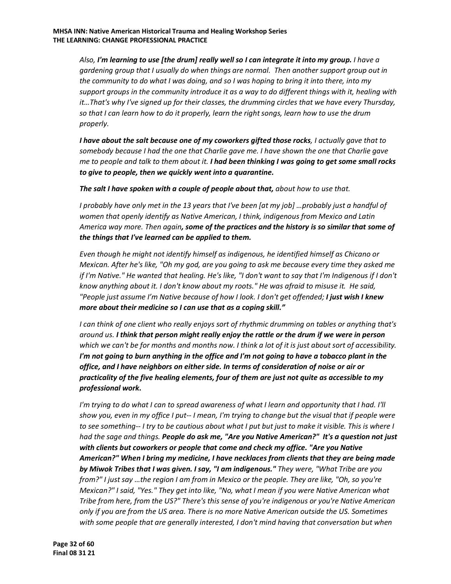*Also, I'm learning to use [the drum] really well so I can integrate it into my group. I have a gardening group that I usually do when things are normal. Then another support group out in the community to do what I was doing, and so I was hoping to bring it into there, into my support groups in the community introduce it as a way to do different things with it, healing with it…That's why I've signed up for their classes, the drumming circles that we have every Thursday, so that I can learn how to do it properly, learn the right songs, learn how to use the drum properly.*

*I have about the salt because one of my coworkers gifted those rocks, I actually gave that to somebody because I had the one that Charlie gave me. I have shown the one that Charlie gave me to people and talk to them about it. I had been thinking I was going to get some small rocks to give to people, then we quickly went into a quarantine.*

*The salt I have spoken with a couple of people about that, about how to use that.*

*I probably have only met in the 13 years that I've been [at my job] …probably just a handful of women that openly identify as Native American, I think, indigenous from Mexico and Latin America way more. Then again, some of the practices and the history is so similar that some of the things that I've learned can be applied to them.*

*Even though he might not identify himself as indigenous, he identified himself as Chicano or Mexican. After he's like, "Oh my god, are you going to ask me because every time they asked me if I'm Native." He wanted that healing. He's like, "I don't want to say that I'm Indigenous if I don't know anything about it. I don't know about my roots." He was afraid to misuse it. He said, "People just assume I'm Native because of how I look. I don't get offended; I just wish I knew more about their medicine so I can use that as a coping skill."*

*I can think of one client who really enjoys sort of rhythmic drumming on tables or anything that's around us. I think that person might really enjoy the rattle or the drum if we were in person which we can't be for months and months now. I think a lot of it is just about sort of accessibility. I'm not going to burn anything in the office and I'm not going to have a tobacco plant in the office, and I have neighbors on either side. In terms of consideration of noise or air or practicality of the five healing elements, four of them are just not quite as accessible to my professional work.*

*I'm trying to do what I can to spread awareness of what I learn and opportunity that I had. I'll show you, even in my office I put-- I mean, I'm trying to change but the visual that if people were to see something-- I try to be cautious about what I put but just to make it visible. This is where I had the sage and things. People do ask me, "Are you Native American?" It's a question not just with clients but coworkers or people that come and check my office. "Are you Native American?" When I bring my medicine, I have necklaces from clients that they are being made by Miwok Tribes that I was given. I say, "I am indigenous." They were, "What Tribe are you from?" I just say …the region I am from in Mexico or the people. They are like, "Oh, so you're Mexican?" I said, "Yes." They get into like, "No, what I mean if you were Native American what Tribe from here, from the US?" There's this sense of you're indigenous or you're Native American only if you are from the US area. There is no more Native American outside the US. Sometimes with some people that are generally interested, I don't mind having that conversation but when*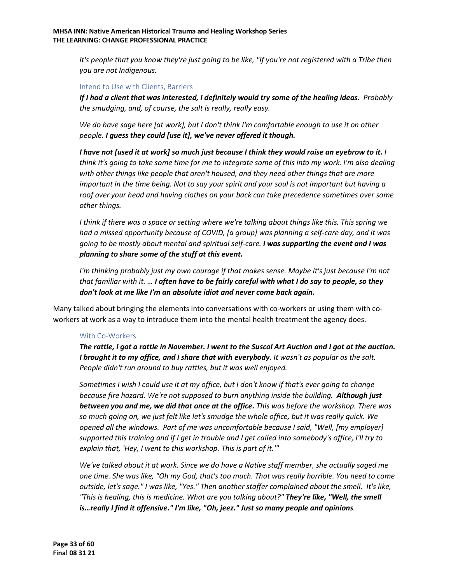*it's people that you know they're just going to be like, "If you're not registered with a Tribe then you are not Indigenous.* 

#### Intend to Use with Clients, Barriers

*If I had a client that was interested, I definitely would try some of the healing ideas. Probably the smudging, and, of course, the salt is really, really easy.*

*We do have sage here [at work], but I don't think I'm comfortable enough to use it on other people. I guess they could [use it], we've never offered it though.* 

*I have not [used it at work] so much just because I think they would raise an eyebrow to it. I think it's going to take some time for me to integrate some of this into my work. I'm also dealing with other things like people that aren't housed, and they need other things that are more important in the time being. Not to say your spirit and your soul is not important but having a roof over your head and having clothes on your back can take precedence sometimes over some other things.*

*I think if there was a space or setting where we're talking about things like this. This spring we had a missed opportunity because of COVID, [a group] was planning a self-care day, and it was going to be mostly about mental and spiritual self-care. I was supporting the event and I was planning to share some of the stuff at this event.*

*I'm thinking probably just my own courage if that makes sense. Maybe it's just because I'm not that familiar with it. … I often have to be fairly careful with what I do say to people, so they don't look at me like I'm an absolute idiot and never come back again.*

Many talked about bringing the elements into conversations with co-workers or using them with coworkers at work as a way to introduce them into the mental health treatment the agency does.

#### With Co-Workers

*The rattle, I got a rattle in November. I went to the Suscol Art Auction and I got at the auction. I brought it to my office, and I share that with everybody. It wasn't as popular as the salt. People didn't run around to buy rattles, but it was well enjoyed.*

*Sometimes I wish I could use it at my office, but I don't know if that's ever going to change because fire hazard. We're not supposed to burn anything inside the building. Although just between you and me, we did that once at the office. This was before the workshop. There was so much going on, we just felt like let's smudge the whole office, but it was really quick. We opened all the windows. Part of me was uncomfortable because I said, "Well, [my employer] supported this training and if I get in trouble and I get called into somebody's office, I'll try to explain that, 'Hey, I went to this workshop. This is part of it.'"* 

*We've talked about it at work. Since we do have a Native staff member, she actually saged me one time. She was like, "Oh my God, that's too much. That was really horrible. You need to come outside, let's sage." I was like, "Yes." Then another staffer complained about the smell. It's like, "This is healing, this is medicine. What are you talking about?" They're like, "Well, the smell is…really I find it offensive." I'm like, "Oh, jeez." Just so many people and opinions.*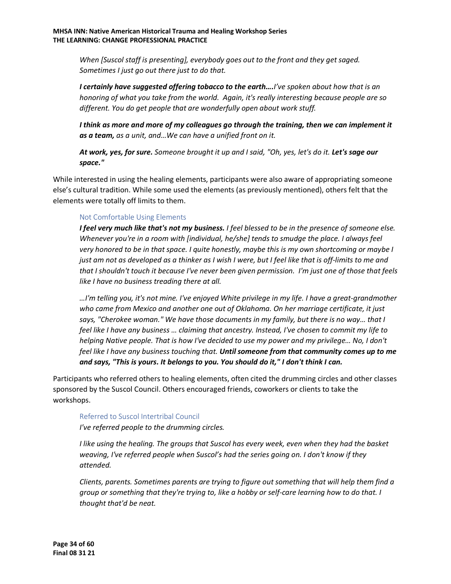*When [Suscol staff is presenting], everybody goes out to the front and they get saged. Sometimes I just go out there just to do that.*

*I certainly have suggested offering tobacco to the earth….I've spoken about how that is an honoring of what you take from the world. Again, it's really interesting because people are so different. You do get people that are wonderfully open about work stuff.*

*I think as more and more of my colleagues go through the training, then we can implement it as a team, as a unit, and…We can have a unified front on it.*

*At work, yes, for sure. Someone brought it up and I said, "Oh, yes, let's do it. Let's sage our space."* 

While interested in using the healing elements, participants were also aware of appropriating someone else's cultural tradition. While some used the elements (as previously mentioned), others felt that the elements were totally off limits to them.

#### Not Comfortable Using Elements

*I feel very much like that's not my business. I feel blessed to be in the presence of someone else. Whenever you're in a room with [individual, he/she] tends to smudge the place. I always feel very honored to be in that space. I quite honestly, maybe this is my own shortcoming or maybe I just am not as developed as a thinker as I wish I were, but I feel like that is off-limits to me and that I shouldn't touch it because I've never been given permission. I'm just one of those that feels like I have no business treading there at all.*

*…I'm telling you, it's not mine. I've enjoyed White privilege in my life. I have a great-grandmother who came from Mexico and another one out of Oklahoma. On her marriage certificate, it just says, "Cherokee woman." We have those documents in my family, but there is no way… that I feel like I have any business … claiming that ancestry. Instead, I've chosen to commit my life to helping Native people. That is how I've decided to use my power and my privilege… No, I don't feel like I have any business touching that. Until someone from that community comes up to me and says, "This is yours. It belongs to you. You should do it," I don't think I can.*

Participants who referred others to healing elements, often cited the drumming circles and other classes sponsored by the Suscol Council. Others encouraged friends, coworkers or clients to take the workshops.

#### Referred to Suscol Intertribal Council

*I've referred people to the drumming circles.* 

*I like using the healing. The groups that Suscol has every week, even when they had the basket weaving, I've referred people when Suscol's had the series going on. I don't know if they attended.*

*Clients, parents. Sometimes parents are trying to figure out something that will help them find a group or something that they're trying to, like a hobby or self-care learning how to do that. I thought that'd be neat.*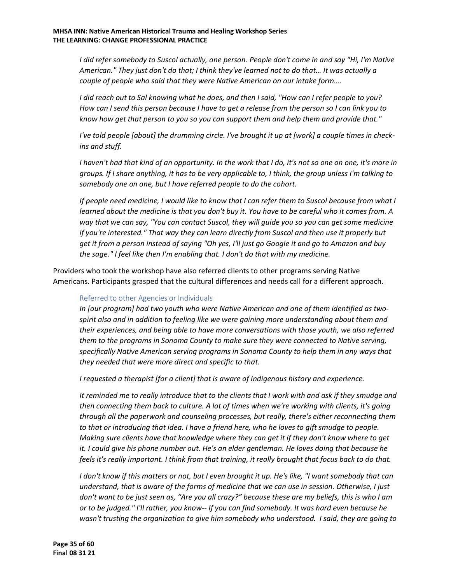*I did refer somebody to Suscol actually, one person. People don't come in and say "Hi, I'm Native American." They just don't do that; I think they've learned not to do that… It was actually a couple of people who said that they were Native American on our intake form….*

*I did reach out to Sal knowing what he does, and then I said, "How can I refer people to you? How can I send this person because I have to get a release from the person so I can link you to know how get that person to you so you can support them and help them and provide that."*

*I've told people [about] the drumming circle. I've brought it up at [work] a couple times in checkins and stuff.*

*I haven't had that kind of an opportunity. In the work that I do, it's not so one on one, it's more in groups. If I share anything, it has to be very applicable to, I think, the group unless I'm talking to somebody one on one, but I have referred people to do the cohort.*

*If people need medicine, I would like to know that I can refer them to Suscol because from what I learned about the medicine is that you don't buy it. You have to be careful who it comes from. A way that we can say, "You can contact Suscol, they will guide you so you can get some medicine if you're interested." That way they can learn directly from Suscol and then use it properly but get it from a person instead of saying "Oh yes, I'll just go Google it and go to Amazon and buy the sage." I feel like then I'm enabling that. I don't do that with my medicine.*

Providers who took the workshop have also referred clients to other programs serving Native Americans. Participants grasped that the cultural differences and needs call for a different approach.

#### Referred to other Agencies or Individuals

*In [our program] had two youth who were Native American and one of them identified as twospirit also and in addition to feeling like we were gaining more understanding about them and their experiences, and being able to have more conversations with those youth, we also referred them to the programs in Sonoma County to make sure they were connected to Native serving, specifically Native American serving programs in Sonoma County to help them in any ways that they needed that were more direct and specific to that.*

*I requested a therapist [for a client] that is aware of Indigenous history and experience.* 

*It reminded me to really introduce that to the clients that I work with and ask if they smudge and then connecting them back to culture. A lot of times when we're working with clients, it's going through all the paperwork and counseling processes, but really, there's either reconnecting them to that or introducing that idea. I have a friend here, who he loves to gift smudge to people. Making sure clients have that knowledge where they can get it if they don't know where to get it. I could give his phone number out. He's an elder gentleman. He loves doing that because he feels it's really important. I think from that training, it really brought that focus back to do that.*

*I don't know if this matters or not, but I even brought it up. He's like, "I want somebody that can understand, that is aware of the forms of medicine that we can use in session. Otherwise, I just don't want to be just seen as, "Are you all crazy?" because these are my beliefs, this is who I am or to be judged." I'll rather, you know-- If you can find somebody. It was hard even because he wasn't trusting the organization to give him somebody who understood. I said, they are going to*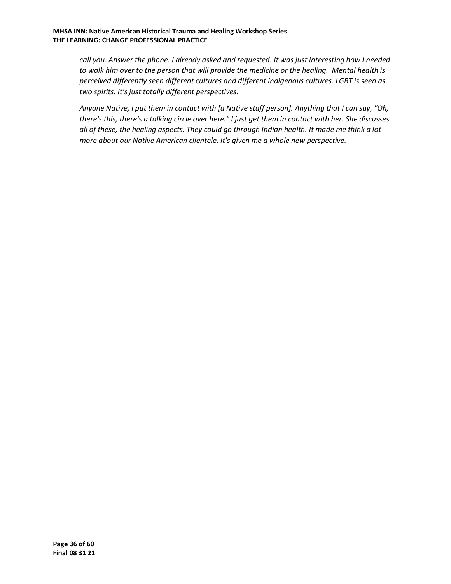*call you. Answer the phone. I already asked and requested. It was just interesting how I needed to walk him over to the person that will provide the medicine or the healing. Mental health is perceived differently seen different cultures and different indigenous cultures. LGBT is seen as two spirits. It's just totally different perspectives.* 

*Anyone Native, I put them in contact with [a Native staff person]. Anything that I can say, "Oh, there's this, there's a talking circle over here." I just get them in contact with her. She discusses all of these, the healing aspects. They could go through Indian health. It made me think a lot more about our Native American clientele. It's given me a whole new perspective.*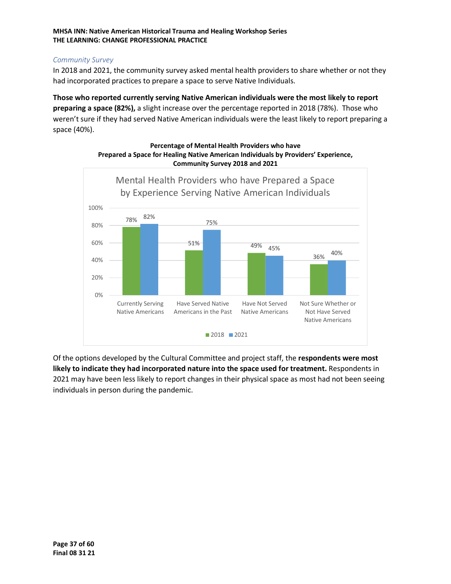#### *Community Survey*

In 2018 and 2021, the community survey asked mental health providers to share whether or not they had incorporated practices to prepare a space to serve Native Individuals.

**Those who reported currently serving Native American individuals were the most likely to report preparing a space (82%),** a slight increase over the percentage reported in 2018 (78%). Those who weren't sure if they had served Native American individuals were the least likely to report preparing a space (40%).



**Percentage of Mental Health Providers who have Prepared a Space for Healing Native American Individuals by Providers' Experience, Community Survey 2018 and 2021**

Of the options developed by the Cultural Committee and project staff, the **respondents were most likely to indicate they had incorporated nature into the space used for treatment.** Respondents in 2021 may have been less likely to report changes in their physical space as most had not been seeing individuals in person during the pandemic.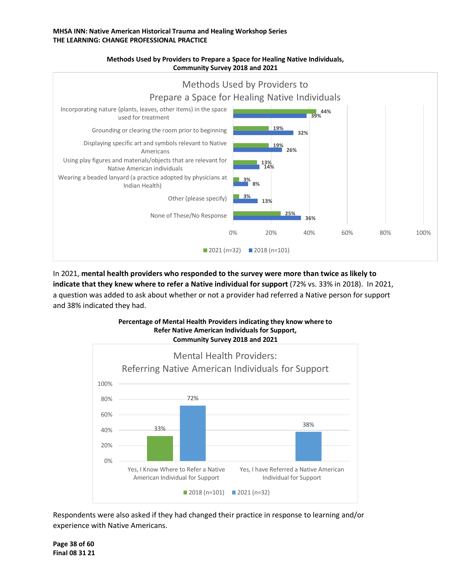

#### **Methods Used by Providers to Prepare a Space for Healing Native Individuals, Community Survey 2018 and 2021**

# In 2021, **mental health providers who responded to the survey were more than twice as likely to indicate that they knew where to refer a Native individual for support** (72% vs. 33% in 2018). In 2021, a question was added to ask about whether or not a provider had referred a Native person for support and 38% indicated they had.



Respondents were also asked if they had changed their practice in response to learning and/or experience with Native Americans.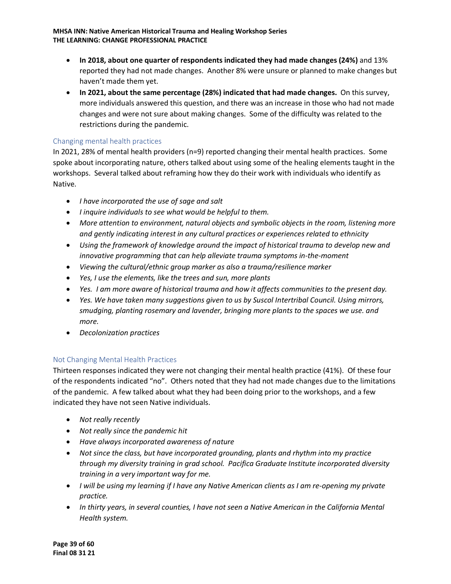- **In 2018, about one quarter of respondents indicated they had made changes (24%)** and 13% reported they had not made changes. Another 8% were unsure or planned to make changes but haven't made them yet.
- **In 2021, about the same percentage (28%) indicated that had made changes.** On this survey, more individuals answered this question, and there was an increase in those who had not made changes and were not sure about making changes. Some of the difficulty was related to the restrictions during the pandemic.

#### Changing mental health practices

In 2021, 28% of mental health providers (n=9) reported changing their mental health practices. Some spoke about incorporating nature, others talked about using some of the healing elements taught in the workshops. Several talked about reframing how they do their work with individuals who identify as Native.

- *I have incorporated the use of sage and salt*
- *I inquire individuals to see what would be helpful to them.*
- *More attention to environment, natural objects and symbolic objects in the room, listening more and gently indicating interest in any cultural practices or experiences related to ethnicity*
- *Using the framework of knowledge around the impact of historical trauma to develop new and innovative programming that can help alleviate trauma symptoms in-the-moment*
- *Viewing the cultural/ethnic group marker as also a trauma/resilience marker*
- *Yes, I use the elements, like the trees and sun, more plants*
- *Yes. I am more aware of historical trauma and how it affects communities to the present day.*
- *Yes. We have taken many suggestions given to us by Suscol Intertribal Council. Using mirrors, smudging, planting rosemary and lavender, bringing more plants to the spaces we use. and more.*
- *Decolonization practices*

#### Not Changing Mental Health Practices

Thirteen responses indicated they were not changing their mental health practice (41%). Of these four of the respondents indicated "no". Others noted that they had not made changes due to the limitations of the pandemic. A few talked about what they had been doing prior to the workshops, and a few indicated they have not seen Native individuals.

- *Not really recently*
- *Not really since the pandemic hit*
- *Have always incorporated awareness of nature*
- *Not since the class, but have incorporated grounding, plants and rhythm into my practice through my diversity training in grad school. Pacifica Graduate Institute incorporated diversity training in a very important way for me.*
- *I will be using my learning if I have any Native American clients as I am re-opening my private practice.*
- *In thirty years, in several counties, I have not seen a Native American in the California Mental Health system.*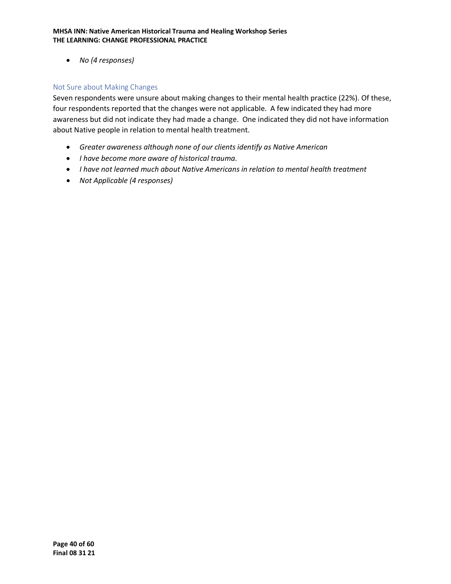• *No (4 responses)*

#### Not Sure about Making Changes

Seven respondents were unsure about making changes to their mental health practice (22%). Of these, four respondents reported that the changes were not applicable. A few indicated they had more awareness but did not indicate they had made a change. One indicated they did not have information about Native people in relation to mental health treatment.

- *Greater awareness although none of our clients identify as Native American*
- *I have become more aware of historical trauma.*
- *I have not learned much about Native Americans in relation to mental health treatment*
- *Not Applicable (4 responses)*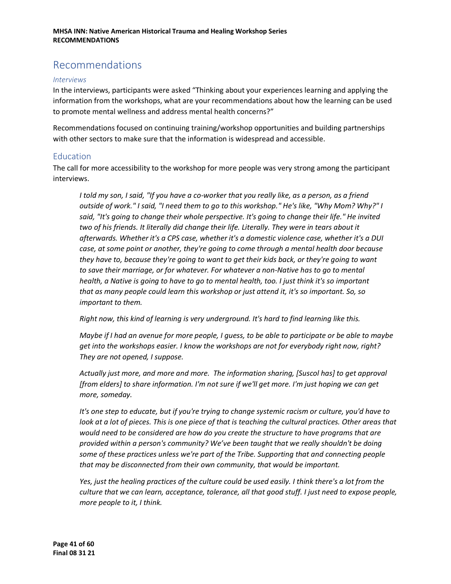# <span id="page-40-0"></span>Recommendations

#### *Interviews*

In the interviews, participants were asked "Thinking about your experiences learning and applying the information from the workshops, what are your recommendations about how the learning can be used to promote mental wellness and address mental health concerns?"

Recommendations focused on continuing training/workshop opportunities and building partnerships with other sectors to make sure that the information is widespread and accessible.

#### <span id="page-40-1"></span>Education

The call for more accessibility to the workshop for more people was very strong among the participant interviews.

*I told my son, I said, "If you have a co-worker that you really like, as a person, as a friend outside of work." I said, "I need them to go to this workshop." He's like, "Why Mom? Why?" I said, "It's going to change their whole perspective. It's going to change their life." He invited two of his friends. It literally did change their life. Literally. They were in tears about it afterwards. Whether it's a CPS case, whether it's a domestic violence case, whether it's a DUI case, at some point or another, they're going to come through a mental health door because they have to, because they're going to want to get their kids back, or they're going to want to save their marriage, or for whatever. For whatever a non-Native has to go to mental health, a Native is going to have to go to mental health, too. I just think it's so important that as many people could learn this workshop or just attend it, it's so important. So, so important to them.*

*Right now, this kind of learning is very underground. It's hard to find learning like this.*

*Maybe if I had an avenue for more people, I guess, to be able to participate or be able to maybe get into the workshops easier. I know the workshops are not for everybody right now, right? They are not opened, I suppose.*

*Actually just more, and more and more. The information sharing, [Suscol has] to get approval [from elders] to share information. I'm not sure if we'll get more. I'm just hoping we can get more, someday.* 

*It's one step to educate, but if you're trying to change systemic racism or culture, you'd have to look at a lot of pieces. This is one piece of that is teaching the cultural practices. Other areas that would need to be considered are how do you create the structure to have programs that are provided within a person's community? We've been taught that we really shouldn't be doing some of these practices unless we're part of the Tribe. Supporting that and connecting people that may be disconnected from their own community, that would be important.*

*Yes, just the healing practices of the culture could be used easily. I think there's a lot from the culture that we can learn, acceptance, tolerance, all that good stuff. I just need to expose people, more people to it, I think.*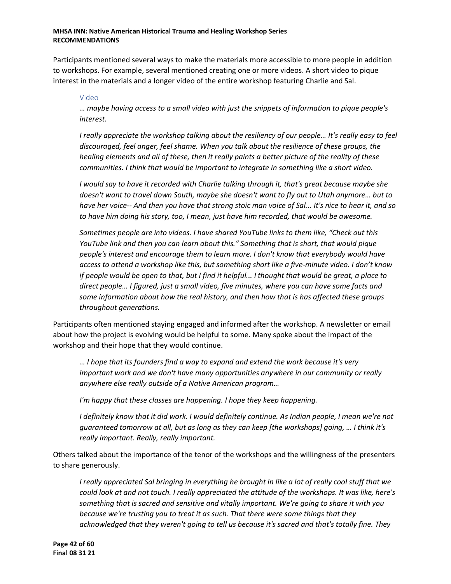Participants mentioned several ways to make the materials more accessible to more people in addition to workshops. For example, several mentioned creating one or more videos. A short video to pique interest in the materials and a longer video of the entire workshop featuring Charlie and Sal.

#### Video

*… maybe having access to a small video with just the snippets of information to pique people's interest.* 

*I really appreciate the workshop talking about the resiliency of our people… It's really easy to feel discouraged, feel anger, feel shame. When you talk about the resilience of these groups, the healing elements and all of these, then it really paints a better picture of the reality of these communities. I think that would be important to integrate in something like a short video.*

*I would say to have it recorded with Charlie talking through it, that's great because maybe she doesn't want to travel down South, maybe she doesn't want to fly out to Utah anymore… but to have her voice-- And then you have that strong stoic man voice of Sal... It's nice to hear it, and so to have him doing his story, too, I mean, just have him recorded, that would be awesome.*

*Sometimes people are into videos. I have shared YouTube links to them like, "Check out this YouTube link and then you can learn about this." Something that is short, that would pique people's interest and encourage them to learn more. I don't know that everybody would have access to attend a workshop like this, but something short like a five-minute video. I don't know if people would be open to that, but I find it helpful... I thought that would be great, a place to direct people… I figured, just a small video, five minutes, where you can have some facts and some information about how the real history, and then how that is has affected these groups throughout generations.*

Participants often mentioned staying engaged and informed after the workshop. A newsletter or email about how the project is evolving would be helpful to some. Many spoke about the impact of the workshop and their hope that they would continue.

*… I hope that its founders find a way to expand and extend the work because it's very important work and we don't have many opportunities anywhere in our community or really anywhere else really outside of a Native American program…* 

*I'm happy that these classes are happening. I hope they keep happening.* 

*I definitely know that it did work. I would definitely continue. As Indian people, I mean we're not guaranteed tomorrow at all, but as long as they can keep [the workshops] going, … I think it's really important. Really, really important.*

Others talked about the importance of the tenor of the workshops and the willingness of the presenters to share generously.

*I really appreciated Sal bringing in everything he brought in like a lot of really cool stuff that we could look at and not touch. I really appreciated the attitude of the workshops. It was like, here's something that is sacred and sensitive and vitally important. We're going to share it with you because we're trusting you to treat it as such. That there were some things that they acknowledged that they weren't going to tell us because it's sacred and that's totally fine. They*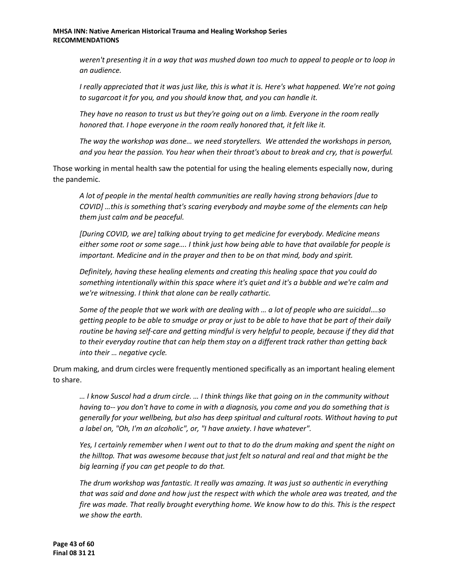*weren't presenting it in a way that was mushed down too much to appeal to people or to loop in an audience.*

*I really appreciated that it was just like, this is what it is. Here's what happened. We're not going to sugarcoat it for you, and you should know that, and you can handle it.*

*They have no reason to trust us but they're going out on a limb. Everyone in the room really honored that. I hope everyone in the room really honored that, it felt like it.*

*The way the workshop was done… we need storytellers. We attended the workshops in person, and you hear the passion. You hear when their throat's about to break and cry, that is powerful.*

Those working in mental health saw the potential for using the healing elements especially now, during the pandemic.

*A lot of people in the mental health communities are really having strong behaviors [due to COVID] …this is something that's scaring everybody and maybe some of the elements can help them just calm and be peaceful.*

*[During COVID, we are] talking about trying to get medicine for everybody. Medicine means either some root or some sage…. I think just how being able to have that available for people is important. Medicine and in the prayer and then to be on that mind, body and spirit.*

*Definitely, having these healing elements and creating this healing space that you could do something intentionally within this space where it's quiet and it's a bubble and we're calm and we're witnessing. I think that alone can be really cathartic.* 

*Some of the people that we work with are dealing with … a lot of people who are suicidal….so getting people to be able to smudge or pray or just to be able to have that be part of their daily routine be having self-care and getting mindful is very helpful to people, because if they did that to their everyday routine that can help them stay on a different track rather than getting back into their … negative cycle.*

Drum making, and drum circles were frequently mentioned specifically as an important healing element to share.

*… I know Suscol had a drum circle. … I think things like that going on in the community without having to-- you don't have to come in with a diagnosis, you come and you do something that is generally for your wellbeing, but also has deep spiritual and cultural roots. Without having to put a label on, "Oh, I'm an alcoholic", or, "I have anxiety. I have whatever".*

*Yes, I certainly remember when I went out to that to do the drum making and spent the night on the hilltop. That was awesome because that just felt so natural and real and that might be the big learning if you can get people to do that.*

*The drum workshop was fantastic. It really was amazing. It was just so authentic in everything that was said and done and how just the respect with which the whole area was treated, and the fire was made. That really brought everything home. We know how to do this. This is the respect we show the earth.*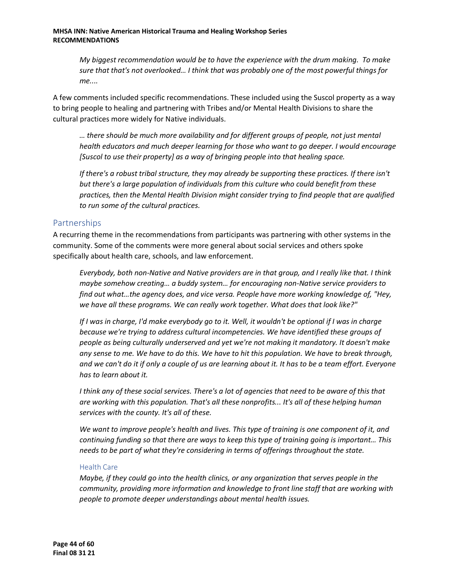*My biggest recommendation would be to have the experience with the drum making. To make sure that that's not overlooked… I think that was probably one of the most powerful things for me....*

A few comments included specific recommendations. These included using the Suscol property as a way to bring people to healing and partnering with Tribes and/or Mental Health Divisions to share the cultural practices more widely for Native individuals.

*… there should be much more availability and for different groups of people, not just mental health educators and much deeper learning for those who want to go deeper. I would encourage [Suscol to use their property] as a way of bringing people into that healing space.*

*If there's a robust tribal structure, they may already be supporting these practices. If there isn't but there's a large population of individuals from this culture who could benefit from these practices, then the Mental Health Division might consider trying to find people that are qualified to run some of the cultural practices.*

### <span id="page-43-0"></span>Partnerships

A recurring theme in the recommendations from participants was partnering with other systems in the community. Some of the comments were more general about social services and others spoke specifically about health care, schools, and law enforcement.

*Everybody, both non-Native and Native providers are in that group, and I really like that. I think maybe somehow creating… a buddy system… for encouraging non-Native service providers to find out what…the agency does, and vice versa. People have more working knowledge of, "Hey, we have all these programs. We can really work together. What does that look like?"*

*If I was in charge, I'd make everybody go to it. Well, it wouldn't be optional if I was in charge because we're trying to address cultural incompetencies. We have identified these groups of people as being culturally underserved and yet we're not making it mandatory. It doesn't make any sense to me. We have to do this. We have to hit this population. We have to break through, and we can't do it if only a couple of us are learning about it. It has to be a team effort. Everyone has to learn about it.*

*I think any of these social services. There's a lot of agencies that need to be aware of this that are working with this population. That's all these nonprofits... It's all of these helping human services with the county. It's all of these.* 

*We want to improve people's health and lives. This type of training is one component of it, and continuing funding so that there are ways to keep this type of training going is important… This needs to be part of what they're considering in terms of offerings throughout the state.*

#### Health Care

*Maybe, if they could go into the health clinics, or any organization that serves people in the community, providing more information and knowledge to front line staff that are working with people to promote deeper understandings about mental health issues.*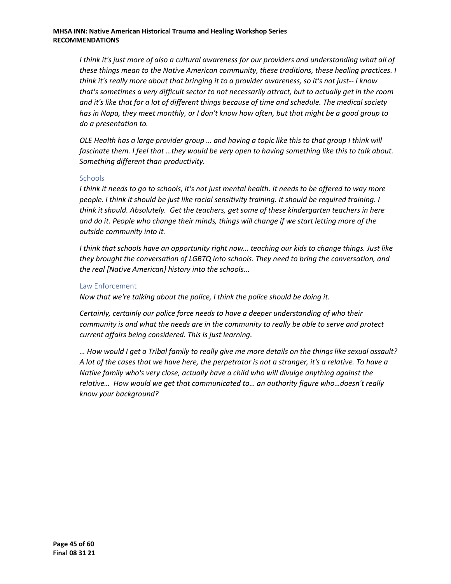*I think it's just more of also a cultural awareness for our providers and understanding what all of these things mean to the Native American community, these traditions, these healing practices. I think it's really more about that bringing it to a provider awareness, so it's not just-- I know that's sometimes a very difficult sector to not necessarily attract, but to actually get in the room and it's like that for a lot of different things because of time and schedule. The medical society has in Napa, they meet monthly, or I don't know how often, but that might be a good group to do a presentation to.*

*OLE Health has a large provider group … and having a topic like this to that group I think will fascinate them. I feel that …they would be very open to having something like this to talk about. Something different than productivity.*

#### **Schools**

*I think it needs to go to schools, it's not just mental health. It needs to be offered to way more people. I think it should be just like racial sensitivity training. It should be required training. I think it should. Absolutely. Get the teachers, get some of these kindergarten teachers in here and do it. People who change their minds, things will change if we start letting more of the outside community into it.*

*I think that schools have an opportunity right now… teaching our kids to change things. Just like they brought the conversation of LGBTQ into schools. They need to bring the conversation, and the real [Native American] history into the schools...*

#### Law Enforcement

*Now that we're talking about the police, I think the police should be doing it.* 

*Certainly, certainly our police force needs to have a deeper understanding of who their community is and what the needs are in the community to really be able to serve and protect current affairs being considered. This is just learning.*

*… How would I get a Tribal family to really give me more details on the things like sexual assault? A lot of the cases that we have here, the perpetrator is not a stranger, it's a relative. To have a Native family who's very close, actually have a child who will divulge anything against the relative… How would we get that communicated to… an authority figure who…doesn't really know your background?*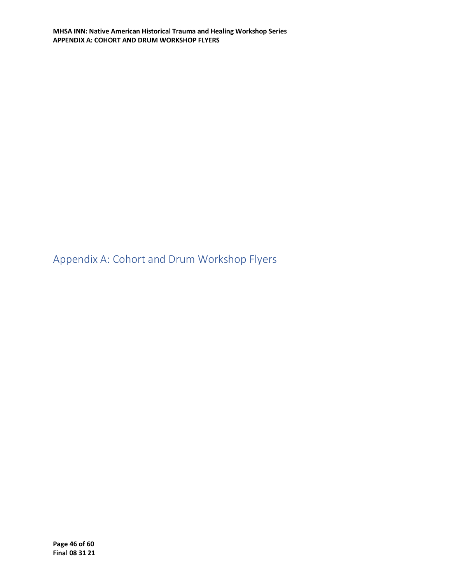<span id="page-45-0"></span>Appendix A: Cohort and Drum Workshop Flyers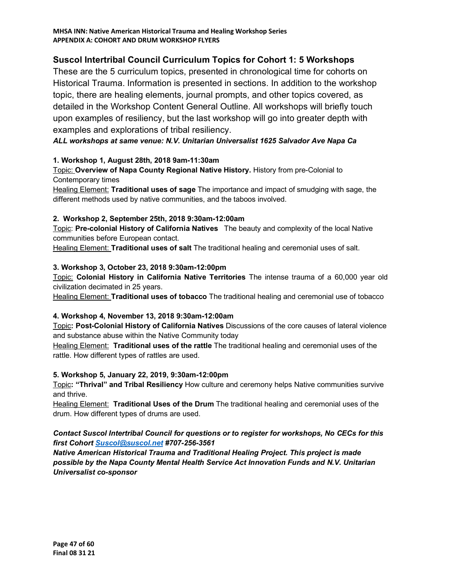# **Suscol Intertribal Council Curriculum Topics for Cohort 1: 5 Workshops**

These are the 5 curriculum topics, presented in chronological time for cohorts on Historical Trauma. Information is presented in sections. In addition to the workshop topic, there are healing elements, journal prompts, and other topics covered, as detailed in the Workshop Content General Outline. All workshops will briefly touch upon examples of resiliency, but the last workshop will go into greater depth with examples and explorations of tribal resiliency.

### *ALL workshops at same venue: N.V. Unitarian Universalist 1625 Salvador Ave Napa Ca*

#### **1. Workshop 1, August 28th, 2018 9am-11:30am**

Topic: **Overview of Napa County Regional Native History.** History from pre-Colonial to Contemporary times

Healing Element: **Traditional uses of sage** The importance and impact of smudging with sage, the different methods used by native communities, and the taboos involved.

#### **2. Workshop 2, September 25th, 2018 9:30am-12:00am**

Topic: **Pre-colonial History of California Natives** The beauty and complexity of the local Native communities before European contact.

Healing Element: **Traditional uses of salt** The traditional healing and ceremonial uses of salt.

#### **3. Workshop 3, October 23, 2018 9:30am-12:00pm**

Topic: **Colonial History in California Native Territories** The intense trauma of a 60,000 year old civilization decimated in 25 years.

Healing Element: **Traditional uses of tobacco** The traditional healing and ceremonial use of tobacco

#### **4. Workshop 4, November 13, 2018 9:30am-12:00am**

Topic**: Post-Colonial History of California Natives** Discussions of the core causes of lateral violence and substance abuse within the Native Community today

Healing Element: **Traditional uses of the rattle** The traditional healing and ceremonial uses of the rattle. How different types of rattles are used.

#### **5. Workshop 5, January 22, 2019, 9:30am-12:00pm**

Topic**: "Thrival" and Tribal Resiliency** How culture and ceremony helps Native communities survive and thrive.

Healing Element: **Traditional Uses of the Drum** The traditional healing and ceremonial uses of the drum. How different types of drums are used.

#### *Contact Suscol Intertribal Council for questions or to register for workshops, No CECs for this first Cohort [Suscol@suscol.net](mailto:Suscol@suscol.net) #707-256-3561*

*Native American Historical Trauma and Traditional Healing Project. This project is made possible by the Napa County Mental Health Service Act Innovation Funds and N.V. Unitarian Universalist co-sponsor*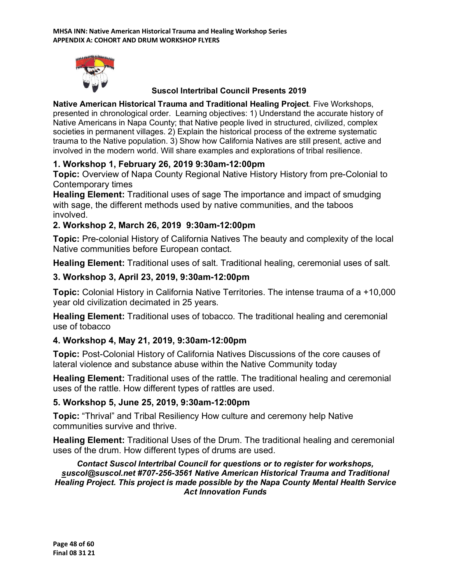

# **Suscol Intertribal Council Presents 2019**

**Native American Historical Trauma and Traditional Healing Project**. Five Workshops, presented in chronological order. Learning objectives: 1) Understand the accurate history of Native Americans in Napa County; that Native people lived in structured, civilized, complex societies in permanent villages. 2) Explain the historical process of the extreme systematic trauma to the Native population. 3) Show how California Natives are still present, active and involved in the modern world. Will share examples and explorations of tribal resilience.

# **1. Workshop 1, February 26, 2019 9:30am-12:00pm**

**Topic:** Overview of Napa County Regional Native History History from pre-Colonial to Contemporary times

**Healing Element:** Traditional uses of sage The importance and impact of smudging with sage, the different methods used by native communities, and the taboos involved.

# **2. Workshop 2, March 26, 2019 9:30am-12:00pm**

**Topic:** Pre-colonial History of California Natives The beauty and complexity of the local Native communities before European contact.

**Healing Element:** Traditional uses of salt. Traditional healing, ceremonial uses of salt.

# **3. Workshop 3, April 23, 2019, 9:30am-12:00pm**

**Topic:** Colonial History in California Native Territories. The intense trauma of a +10,000 year old civilization decimated in 25 years.

**Healing Element:** Traditional uses of tobacco. The traditional healing and ceremonial use of tobacco

# **4. Workshop 4, May 21, 2019, 9:30am-12:00pm**

**Topic:** Post-Colonial History of California Natives Discussions of the core causes of lateral violence and substance abuse within the Native Community today

**Healing Element:** Traditional uses of the rattle. The traditional healing and ceremonial uses of the rattle. How different types of rattles are used.

# **5. Workshop 5, June 25, 2019, 9:30am-12:00pm**

**Topic:** "Thrival" and Tribal Resiliency How culture and ceremony help Native communities survive and thrive.

**Healing Element:** Traditional Uses of the Drum. The traditional healing and ceremonial uses of the drum. How different types of drums are used.

#### *Contact Suscol Intertribal Council for questions or to register for workshops, suscol@suscol.net #707-256-3561 Native American Historical Trauma and Traditional Healing Project. This project is made possible by the Napa County Mental Health Service Act Innovation Funds*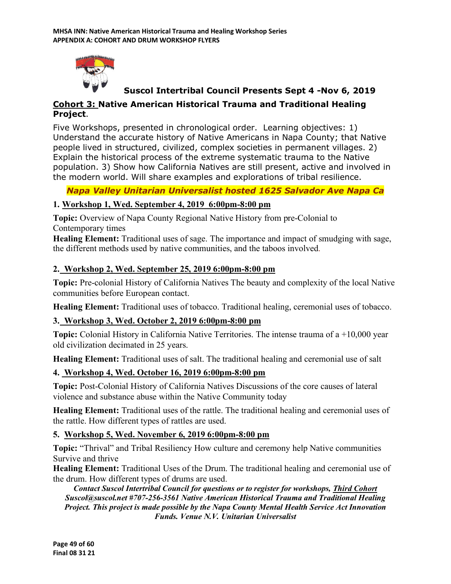

# **Suscol Intertribal Council Presents Sept 4 -Nov 6, 2019**

# **Cohort 3: Native American Historical Trauma and Traditional Healing Project**.

Five Workshops, presented in chronological order. Learning objectives: 1) Understand the accurate history of Native Americans in Napa County; that Native people lived in structured, civilized, complex societies in permanent villages. 2) Explain the historical process of the extreme systematic trauma to the Native population. 3) Show how California Natives are still present, active and involved in the modern world. Will share examples and explorations of tribal resilience.

# *Napa Valley Unitarian Universalist hosted 1625 Salvador Ave Napa Ca*

# **1. Workshop 1, Wed. September 4, 2019 6:00pm-8:00 pm**

**Topic:** Overview of Napa County Regional Native History from pre-Colonial to Contemporary times

**Healing Element:** Traditional uses of sage. The importance and impact of smudging with sage, the different methods used by native communities, and the taboos involved.

# **2. Workshop 2, Wed. September 25, 2019 6:00pm-8:00 pm**

**Topic:** Pre-colonial History of California Natives The beauty and complexity of the local Native communities before European contact.

**Healing Element:** Traditional uses of tobacco. Traditional healing, ceremonial uses of tobacco.

# **3. Workshop 3, Wed. October 2, 2019 6:00pm-8:00 pm**

**Topic:** Colonial History in California Native Territories. The intense trauma of a +10,000 year old civilization decimated in 25 years.

**Healing Element:** Traditional uses of salt. The traditional healing and ceremonial use of salt

# **4. Workshop 4, Wed. October 16, 2019 6:00pm-8:00 pm**

**Topic:** Post-Colonial History of California Natives Discussions of the core causes of lateral violence and substance abuse within the Native Community today

**Healing Element:** Traditional uses of the rattle. The traditional healing and ceremonial uses of the rattle. How different types of rattles are used.

# **5. Workshop 5, Wed. November 6, 2019 6:00pm-8:00 pm**

**Topic:** "Thrival" and Tribal Resiliency How culture and ceremony help Native communities Survive and thrive

**Healing Element:** Traditional Uses of the Drum. The traditional healing and ceremonial use of the drum. How different types of drums are used.

*Contact Suscol Intertribal Council for questions or to register for workshops, Third Cohort Suscol@suscol.net #707-256-3561 Native American Historical Trauma and Traditional Healing Project. This project is made possible by the Napa County Mental Health Service Act Innovation Funds. Venue N.V. Unitarian Universalist*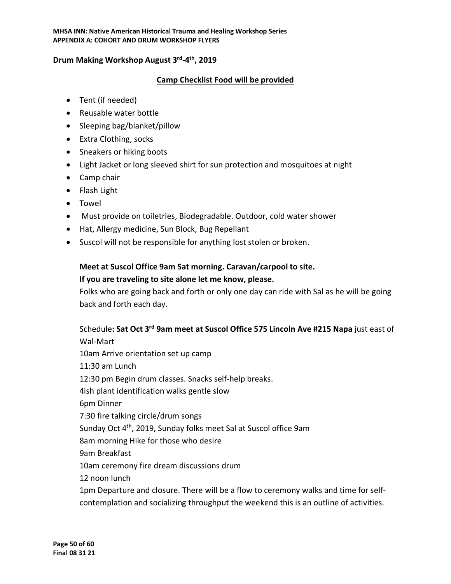### **Drum Making Workshop August 3rd-4th, 2019**

### **Camp Checklist Food will be provided**

- Tent (if needed)
- Reusable water bottle
- Sleeping bag/blanket/pillow
- Extra Clothing, socks
- Sneakers or hiking boots
- Light Jacket or long sleeved shirt for sun protection and mosquitoes at night
- Camp chair
- Flash Light
- Towel
- Must provide on toiletries, Biodegradable. Outdoor, cold water shower
- Hat, Allergy medicine, Sun Block, Bug Repellant
- Suscol will not be responsible for anything lost stolen or broken.

# **Meet at Suscol Office 9am Sat morning. Caravan/carpool to site.**

### **If you are traveling to site alone let me know, please.**

Folks who are going back and forth or only one day can ride with Sal as he will be going back and forth each day.

Schedule**: Sat Oct 3rd 9am meet at Suscol Office 575 Lincoln Ave #215 Napa** just east of Wal-Mart 10am Arrive orientation set up camp 11:30 am Lunch 12:30 pm Begin drum classes. Snacks self-help breaks. 4ish plant identification walks gentle slow 6pm Dinner 7:30 fire talking circle/drum songs Sunday Oct 4th, 2019, Sunday folks meet Sal at Suscol office 9am 8am morning Hike for those who desire 9am Breakfast 10am ceremony fire dream discussions drum 12 noon lunch 1pm Departure and closure. There will be a flow to ceremony walks and time for self-

contemplation and socializing throughput the weekend this is an outline of activities.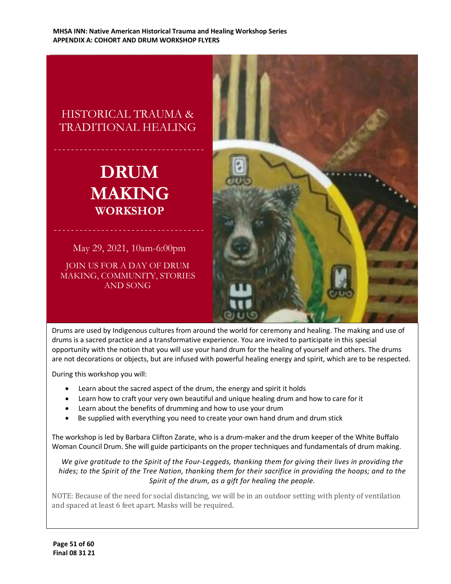# HISTORICAL TRAUMA & TRADITIONAL HEALING

# **DRUM MAKING WORKSHOP**

May 29, 2021, 10am-6:00pm

JOIN US FOR A DAY OF DRUM MAKING, COMMUNITY, STORIES AND SONG



Drums are used by Indigenous cultures from around the world for ceremony and healing. The making and use of drums is a sacred practice and a transformative experience. You are invited to participate in this special opportunity with the notion that you will use your hand drum for the healing of yourself and others. The drums are not decorations or objects, but are infused with powerful healing energy and spirit, which are to be respected.

During this workshop you will:

- Learn about the sacred aspect of the drum, the energy and spirit it holds
- Learn how to craft your very own beautiful and unique healing drum and how to care for it
- Learn about the benefits of drumming and how to use your drum
- Be supplied with everything you need to create your own hand drum and drum stick

The workshop is led by Barbara Clifton Zarate, who is a drum-maker and the drum keeper of the White Buffalo Woman Council Drum. She will guide participants on the proper techniques and fundamentals of drum making.

*We give gratitude to the Spirit of the Four-Leggeds, thanking them for giving their lives in providing the hides; to the Spirit of the Tree Nation, thanking them for their sacrifice in providing the hoops; and to the Spirit of the drum, as a gift for healing the people.*

NOTE: Because of the need for social distancing, we will be in an outdoor setting with plenty of ventilation and spaced at least 6 feet apart. Masks will be required.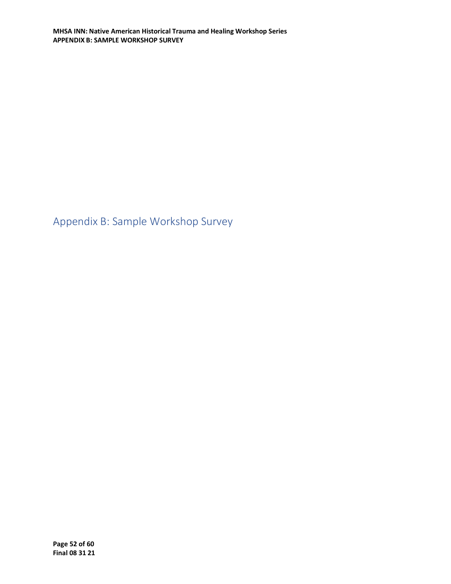<span id="page-51-0"></span>Appendix B: Sample Workshop Survey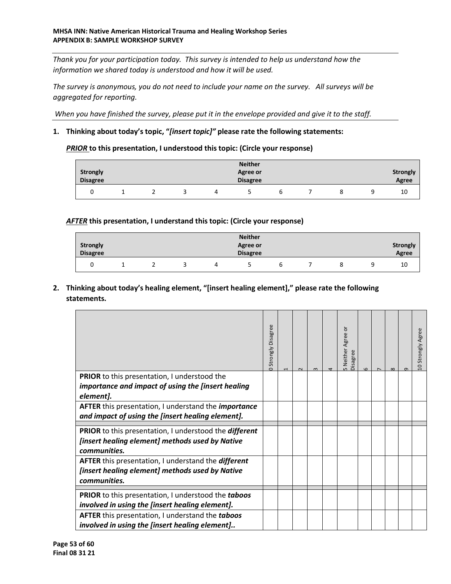*Thank you for your participation today. This survey is intended to help us understand how the information we shared today is understood and how it will be used.*

*The survey is anonymous, you do not need to include your name on the survey. All surveys will be aggregated for reporting.*

*When you have finished the survey, please put it in the envelope provided and give it to the staff.*

#### **1. Thinking about today's topic, "***[insert topic]"* **please rate the following statements:**

#### *PRIOR* **to this presentation, I understood this topic: (Circle your response)**

|                 |  |   | <b>Neither</b>  |   |  |                 |
|-----------------|--|---|-----------------|---|--|-----------------|
| Strongly        |  |   | Agree or        |   |  | <b>Strongly</b> |
| <b>Disagree</b> |  |   | <b>Disagree</b> |   |  | Agree           |
|                 |  | 4 |                 | b |  | 10              |

#### *AFTER* **this presentation, I understand this topic: (Circle your response)**

|                 |  |  | <b>Neither</b>  |  |   |                 |
|-----------------|--|--|-----------------|--|---|-----------------|
| <b>Strongly</b> |  |  | <b>Agree or</b> |  |   | <b>Strongly</b> |
| <b>Disagree</b> |  |  | <b>Disagree</b> |  |   | <b>Agree</b>    |
|                 |  |  |                 |  | ٥ | 10              |

### **2. Thinking about today's healing element, "[insert healing element]," please rate the following statements.**

|                                                                                                                                         | Strongly Disagree | $\sim$ | $\infty$ | ō<br>5 Neither Agree<br>Disagree | $\Omega$ | $\infty$ | $\sigma$ | 10 Strongly Agree |
|-----------------------------------------------------------------------------------------------------------------------------------------|-------------------|--------|----------|----------------------------------|----------|----------|----------|-------------------|
| <b>PRIOR</b> to this presentation, I understood the                                                                                     |                   |        |          |                                  |          |          |          |                   |
| importance and impact of using the [insert healing                                                                                      |                   |        |          |                                  |          |          |          |                   |
| element].                                                                                                                               |                   |        |          |                                  |          |          |          |                   |
| AFTER this presentation, I understand the <i>importance</i><br>and impact of using the [insert healing element].                        |                   |        |          |                                  |          |          |          |                   |
| <b>PRIOR</b> to this presentation, I understood the <i>different</i><br>[insert healing element] methods used by Native<br>communities. |                   |        |          |                                  |          |          |          |                   |
|                                                                                                                                         |                   |        |          |                                  |          |          |          |                   |
| AFTER this presentation, I understand the different<br>[insert healing element] methods used by Native<br>communities.                  |                   |        |          |                                  |          |          |          |                   |
| PRIOR to this presentation, I understood the taboos<br>involved in using the [insert healing element].                                  |                   |        |          |                                  |          |          |          |                   |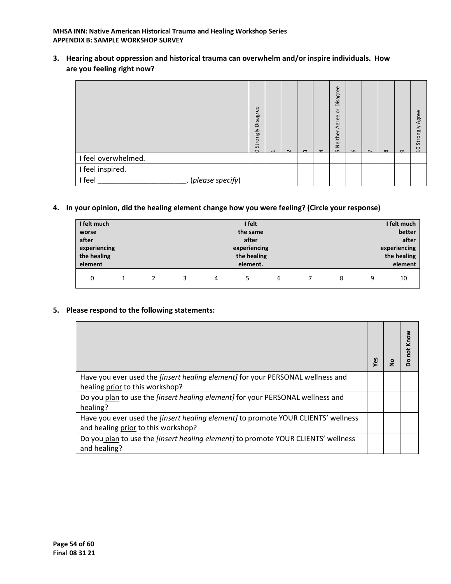#### **MHSA INN: Native American Historical Trauma and Healing Workshop Series APPENDIX B: SAMPLE WORKSHOP SURVEY**

**3. Hearing about oppression and historical trauma can overwhelm and/or inspire individuals. How are you feeling right now?**

|                              | Disagree<br>Strongly<br>$\circ$ | $\blacksquare$ | $\sim$ | $\omega$ | $\overline{a}$ | Disagree<br>ŏ<br>Agree<br>Neither<br>$\mathsf{L}$ | $\omega$ | $\overline{ }$ | $\infty$ | $\sigma$ | Agree<br>Strongly<br>å |
|------------------------------|---------------------------------|----------------|--------|----------|----------------|---------------------------------------------------|----------|----------------|----------|----------|------------------------|
| I feel overwhelmed.          |                                 |                |        |          |                |                                                   |          |                |          |          |                        |
| I feel inspired.             |                                 |                |        |          |                |                                                   |          |                |          |          |                        |
| I feel<br>. (please specify) |                                 |                |        |          |                |                                                   |          |                |          |          |                        |

#### **4. In your opinion, did the healing element change how you were feeling? (Circle your response)**

| I felt much                  |  |  |   |          | I felt      | I felt much |  |              |         |    |  |  |
|------------------------------|--|--|---|----------|-------------|-------------|--|--------------|---------|----|--|--|
| worse                        |  |  |   | the same |             |             |  |              | better  |    |  |  |
| after                        |  |  |   | after    |             |             |  |              | after   |    |  |  |
| experiencing<br>experiencing |  |  |   |          |             |             |  | experiencing |         |    |  |  |
| the healing                  |  |  |   |          | the healing |             |  | the healing  |         |    |  |  |
| element                      |  |  |   | element. |             |             |  |              | element |    |  |  |
| 0                            |  |  | 3 | 4        |             | 6           |  | 8            | 9       | 10 |  |  |

#### **5. Please respond to the following statements:**

| Have you ever used the <i>[insert healing element]</i> for your PERSONAL wellness and<br>healing prior to this workshop? |  |  |
|--------------------------------------------------------------------------------------------------------------------------|--|--|
| Do you plan to use the <i>[insert healing element]</i> for your PERSONAL wellness and                                    |  |  |
| healing?                                                                                                                 |  |  |
| Have you ever used the <i>[insert healing element]</i> to promote YOUR CLIENTS' wellness                                 |  |  |
| and healing prior to this workshop?                                                                                      |  |  |
| Do you plan to use the <i>[insert healing element]</i> to promote YOUR CLIENTS' wellness<br>and healing?                 |  |  |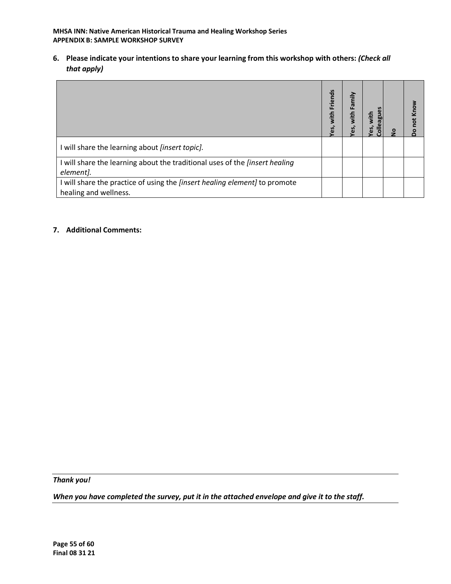**MHSA INN: Native American Historical Trauma and Healing Workshop Series APPENDIX B: SAMPLE WORKSHOP SURVEY**

**6. Please indicate your intentions to share your learning from this workshop with others:** *(Check all that apply)*

|                                                                                                            | Friends<br>with<br>es, | Family<br>with<br>es, | ni‡i<br>$\overline{\bullet}$ | ۅ | not Know<br>$\circ$ |
|------------------------------------------------------------------------------------------------------------|------------------------|-----------------------|------------------------------|---|---------------------|
| I will share the learning about [insert topic].                                                            |                        |                       |                              |   |                     |
| I will share the learning about the traditional uses of the [insert healing<br>element].                   |                        |                       |                              |   |                     |
| I will share the practice of using the <i>[insert healing element]</i> to promote<br>healing and wellness. |                        |                       |                              |   |                     |

#### **7. Additional Comments:**

*Thank you!* 

*When you have completed the survey, put it in the attached envelope and give it to the staff.*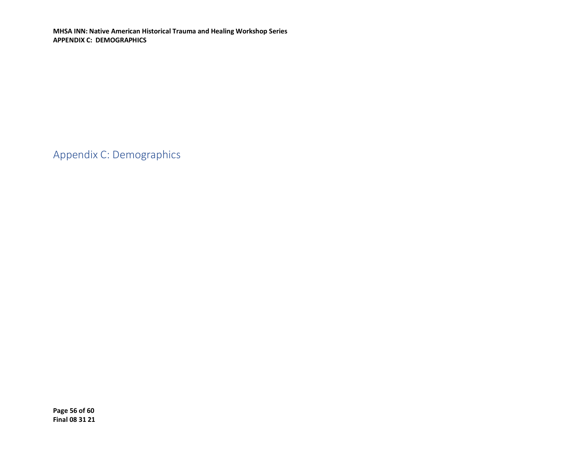**MHSA INN: Native American Historical Trauma and Healing Workshop Series APPENDIX C: DEMOGRAPHICS**

<span id="page-55-0"></span>Appendix C: Demographics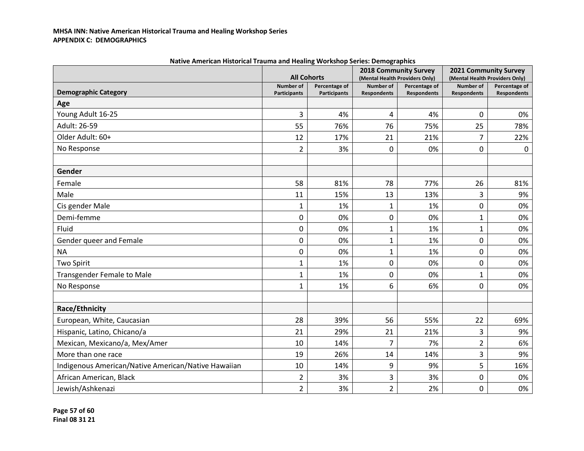#### **MHSA INN: Native American Historical Trauma and Healing Workshop Series APPENDIX C: DEMOGRAPHICS**

|                                                     |                                  | <b>All Cohorts</b>                   |                                 | <b>2018 Community Survey</b><br>(Mental Health Providers Only) |                                 | 2021 Community Survey<br>(Mental Health Providers Only) |
|-----------------------------------------------------|----------------------------------|--------------------------------------|---------------------------------|----------------------------------------------------------------|---------------------------------|---------------------------------------------------------|
| <b>Demographic Category</b>                         | <b>Number of</b><br>Participants | Percentage of<br><b>Participants</b> | Number of<br><b>Respondents</b> | Percentage of<br><b>Respondents</b>                            | Number of<br><b>Respondents</b> | Percentage of<br><b>Respondents</b>                     |
| Age                                                 |                                  |                                      |                                 |                                                                |                                 |                                                         |
| Young Adult 16-25                                   | 3                                | 4%                                   | 4                               | 4%                                                             | 0                               | 0%                                                      |
| Adult: 26-59                                        | 55                               | 76%                                  | 76                              | 75%                                                            | 25                              | 78%                                                     |
| Older Adult: 60+                                    | 12                               | 17%                                  | 21                              | 21%                                                            | 7                               | 22%                                                     |
| No Response                                         | 2                                | 3%                                   | 0                               | 0%                                                             | 0                               | $\mathbf 0$                                             |
| Gender                                              |                                  |                                      |                                 |                                                                |                                 |                                                         |
| Female                                              | 58                               | 81%                                  | 78                              | 77%                                                            | 26                              | 81%                                                     |
| Male                                                | 11                               | 15%                                  | 13                              | 13%                                                            | 3                               | 9%                                                      |
| Cis gender Male                                     | 1                                | 1%                                   | 1                               | 1%                                                             | 0                               | 0%                                                      |
| Demi-femme                                          | 0                                | 0%                                   | 0                               | 0%                                                             | $\mathbf{1}$                    | 0%                                                      |
| Fluid                                               | 0                                | 0%                                   | $\mathbf{1}$                    | 1%                                                             | 1                               | 0%                                                      |
| Gender queer and Female                             | 0                                | 0%                                   | $\mathbf{1}$                    | 1%                                                             | 0                               | 0%                                                      |
| <b>NA</b>                                           | 0                                | 0%                                   | $\mathbf{1}$                    | 1%                                                             | 0                               | 0%                                                      |
| <b>Two Spirit</b>                                   | 1                                | 1%                                   | 0                               | 0%                                                             | 0                               | 0%                                                      |
| <b>Transgender Female to Male</b>                   | $\mathbf 1$                      | 1%                                   | 0                               | 0%                                                             | $\mathbf{1}$                    | 0%                                                      |
| No Response                                         | 1                                | 1%                                   | 6                               | 6%                                                             | 0                               | 0%                                                      |
| Race/Ethnicity                                      |                                  |                                      |                                 |                                                                |                                 |                                                         |
| European, White, Caucasian                          | 28                               | 39%                                  | 56                              | 55%                                                            | 22                              | 69%                                                     |
| Hispanic, Latino, Chicano/a                         | 21                               | 29%                                  | 21                              | 21%                                                            | 3                               | 9%                                                      |
| Mexican, Mexicano/a, Mex/Amer                       | 10                               | 14%                                  | 7                               | 7%                                                             | $\overline{2}$                  | 6%                                                      |
| More than one race                                  | 19                               | 26%                                  | 14                              | 14%                                                            | 3                               | 9%                                                      |
| Indigenous American/Native American/Native Hawaiian | 10                               | 14%                                  | 9                               | 9%                                                             | 5                               | 16%                                                     |
| African American, Black                             | 2                                | 3%                                   | 3                               | 3%                                                             | 0                               | 0%                                                      |
| Jewish/Ashkenazi                                    | $\overline{2}$                   | 3%                                   | $\overline{2}$                  | 2%                                                             | 0                               | 0%                                                      |

| Native American Historical Trauma and Healing Workshop Series: Demographics |  |  |
|-----------------------------------------------------------------------------|--|--|
|-----------------------------------------------------------------------------|--|--|

**Page 57 of 60 Final 08 31 21**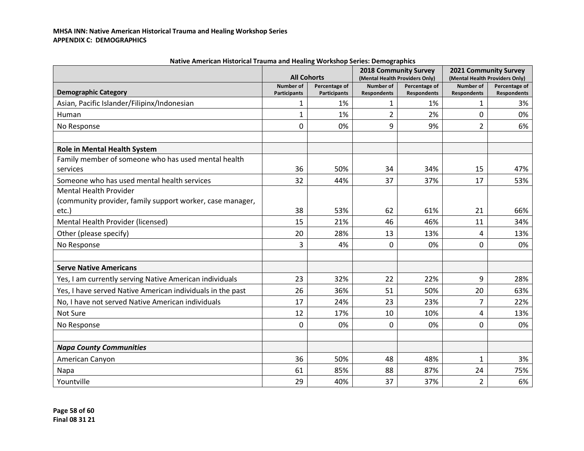|                                                            | <b>All Cohorts</b>                      |                                      | 2018 Community Survey<br>(Mental Health Providers Only) |                                     | 2021 Community Survey<br>(Mental Health Providers Only) |                                     |
|------------------------------------------------------------|-----------------------------------------|--------------------------------------|---------------------------------------------------------|-------------------------------------|---------------------------------------------------------|-------------------------------------|
| <b>Demographic Category</b>                                | <b>Number of</b><br><b>Participants</b> | Percentage of<br><b>Participants</b> | Number of<br><b>Respondents</b>                         | Percentage of<br><b>Respondents</b> | Number of<br><b>Respondents</b>                         | Percentage of<br><b>Respondents</b> |
| Asian, Pacific Islander/Filipinx/Indonesian                | 1                                       | 1%                                   | 1                                                       | 1%                                  | $\mathbf{1}$                                            | 3%                                  |
| Human                                                      | $\mathbf{1}$                            | 1%                                   | $\overline{2}$                                          | 2%                                  | 0                                                       | 0%                                  |
| No Response                                                | $\mathbf{0}$                            | 0%                                   | 9                                                       | 9%                                  | 2                                                       | 6%                                  |
|                                                            |                                         |                                      |                                                         |                                     |                                                         |                                     |
| Role in Mental Health System                               |                                         |                                      |                                                         |                                     |                                                         |                                     |
| Family member of someone who has used mental health        |                                         |                                      |                                                         |                                     |                                                         |                                     |
| services                                                   | 36                                      | 50%                                  | 34                                                      | 34%                                 | 15                                                      | 47%                                 |
| Someone who has used mental health services                | 32                                      | 44%                                  | 37                                                      | 37%                                 | 17                                                      | 53%                                 |
| <b>Mental Health Provider</b>                              |                                         |                                      |                                                         |                                     |                                                         |                                     |
| (community provider, family support worker, case manager,  |                                         |                                      |                                                         |                                     |                                                         |                                     |
| $etc.$ )                                                   | 38                                      | 53%                                  | 62                                                      | 61%                                 | 21                                                      | 66%                                 |
| Mental Health Provider (licensed)                          | 15                                      | 21%                                  | 46                                                      | 46%                                 | 11                                                      | 34%                                 |
| Other (please specify)                                     | 20                                      | 28%                                  | 13                                                      | 13%                                 | 4                                                       | 13%                                 |
| No Response                                                | 3                                       | 4%                                   | $\mathbf{0}$                                            | 0%                                  | 0                                                       | 0%                                  |
|                                                            |                                         |                                      |                                                         |                                     |                                                         |                                     |
| <b>Serve Native Americans</b>                              |                                         |                                      |                                                         |                                     |                                                         |                                     |
| Yes, I am currently serving Native American individuals    | 23                                      | 32%                                  | 22                                                      | 22%                                 | 9                                                       | 28%                                 |
| Yes, I have served Native American individuals in the past | 26                                      | 36%                                  | 51                                                      | 50%                                 | 20                                                      | 63%                                 |
| No, I have not served Native American individuals          | 17                                      | 24%                                  | 23                                                      | 23%                                 | 7                                                       | 22%                                 |
| Not Sure                                                   | 12                                      | 17%                                  | 10                                                      | 10%                                 | 4                                                       | 13%                                 |
| No Response                                                | $\mathbf{0}$                            | 0%                                   | $\Omega$                                                | 0%                                  | 0                                                       | 0%                                  |
|                                                            |                                         |                                      |                                                         |                                     |                                                         |                                     |
| <b>Napa County Communities</b>                             |                                         |                                      |                                                         |                                     |                                                         |                                     |
| American Canyon                                            | 36                                      | 50%                                  | 48                                                      | 48%                                 | $\mathbf{1}$                                            | 3%                                  |
| Napa                                                       | 61                                      | 85%                                  | 88                                                      | 87%                                 | 24                                                      | 75%                                 |
| Yountville                                                 | 29                                      | 40%                                  | 37                                                      | 37%                                 | $\overline{2}$                                          | 6%                                  |

**Native American Historical Trauma and Healing Workshop Series: Demographics**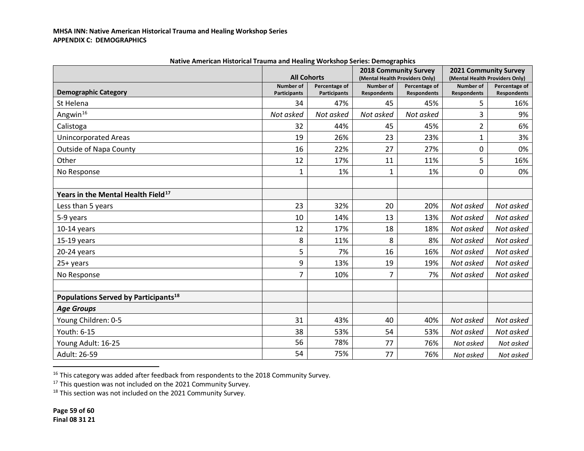|                                                  | <b>All Cohorts</b>                      |                                      | <b>2018 Community Survey</b><br>(Mental Health Providers Only) |                                     | 2021 Community Survey<br>(Mental Health Providers Only) |                                     |
|--------------------------------------------------|-----------------------------------------|--------------------------------------|----------------------------------------------------------------|-------------------------------------|---------------------------------------------------------|-------------------------------------|
| <b>Demographic Category</b>                      | <b>Number of</b><br><b>Participants</b> | Percentage of<br><b>Participants</b> | <b>Number of</b><br><b>Respondents</b>                         | Percentage of<br><b>Respondents</b> | Number of<br><b>Respondents</b>                         | Percentage of<br><b>Respondents</b> |
| St Helena                                        | 34                                      | 47%                                  | 45                                                             | 45%                                 | 5                                                       | 16%                                 |
| Angwin <sup>16</sup>                             | Not asked                               | Not asked                            | Not asked                                                      | Not asked                           | 3                                                       | 9%                                  |
| Calistoga                                        | 32                                      | 44%                                  | 45                                                             | 45%                                 | 2                                                       | 6%                                  |
| <b>Unincorporated Areas</b>                      | 19                                      | 26%                                  | 23                                                             | 23%                                 | $\mathbf 1$                                             | 3%                                  |
| <b>Outside of Napa County</b>                    | 16                                      | 22%                                  | 27                                                             | 27%                                 | 0                                                       | 0%                                  |
| Other                                            | 12                                      | 17%                                  | 11                                                             | 11%                                 | 5                                                       | 16%                                 |
| No Response                                      | 1                                       | 1%                                   | 1                                                              | 1%                                  | 0                                                       | 0%                                  |
|                                                  |                                         |                                      |                                                                |                                     |                                                         |                                     |
| Years in the Mental Health Field <sup>17</sup>   |                                         |                                      |                                                                |                                     |                                                         |                                     |
| Less than 5 years                                | 23                                      | 32%                                  | 20                                                             | 20%                                 | Not asked                                               | Not asked                           |
| 5-9 years                                        | 10                                      | 14%                                  | 13                                                             | 13%                                 | Not asked                                               | Not asked                           |
| $10-14$ years                                    | 12                                      | 17%                                  | 18                                                             | 18%                                 | Not asked                                               | Not asked                           |
| $15-19$ years                                    | 8                                       | 11%                                  | 8                                                              | 8%                                  | Not asked                                               | Not asked                           |
| 20-24 years                                      | 5                                       | 7%                                   | 16                                                             | 16%                                 | Not asked                                               | Not asked                           |
| 25+ years                                        | 9                                       | 13%                                  | 19                                                             | 19%                                 | Not asked                                               | Not asked                           |
| No Response                                      | $\overline{7}$                          | 10%                                  | 7                                                              | 7%                                  | Not asked                                               | Not asked                           |
|                                                  |                                         |                                      |                                                                |                                     |                                                         |                                     |
| Populations Served by Participants <sup>18</sup> |                                         |                                      |                                                                |                                     |                                                         |                                     |
| <b>Age Groups</b>                                |                                         |                                      |                                                                |                                     |                                                         |                                     |
| Young Children: 0-5                              | 31                                      | 43%                                  | 40                                                             | 40%                                 | Not asked                                               | Not asked                           |
| Youth: 6-15                                      | 38                                      | 53%                                  | 54                                                             | 53%                                 | Not asked                                               | Not asked                           |
| Young Adult: 16-25                               | 56                                      | 78%                                  | 77                                                             | 76%                                 | Not asked                                               | Not asked                           |
| Adult: 26-59                                     | 54                                      | 75%                                  | 77                                                             | 76%                                 | Not asked                                               | Not asked                           |

<span id="page-58-2"></span><span id="page-58-1"></span><span id="page-58-0"></span>**Native American Historical Trauma and Healing Workshop Series: Demographics**

<sup>&</sup>lt;sup>16</sup> This category was added after feedback from respondents to the 2018 Community Survey.<br><sup>17</sup> This question was not included on the 2021 Community Survey.

<sup>&</sup>lt;sup>18</sup> This section was not included on the 2021 Community Survey.